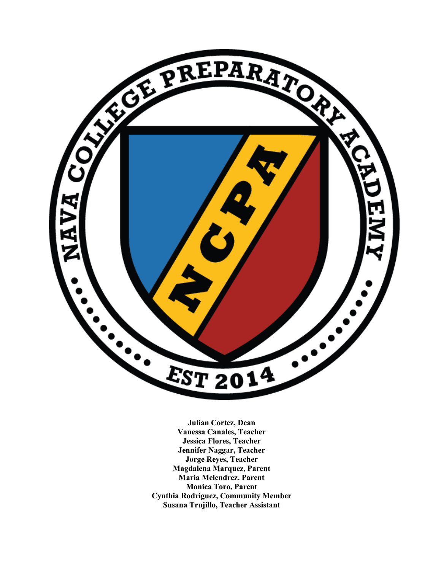

**Julian!Cortez,!Dean Vanessa Canales, Teacher Jessica Flores, Teacher Jennifer Naggar, Teacher Jorge Reyes, Teacher Magdalena Marquez, Parent Maria Melendrez, Parent Monica Toro, Parent Cynthia Rodriguez, Community Member Susana Trujillo, Teacher Assistant**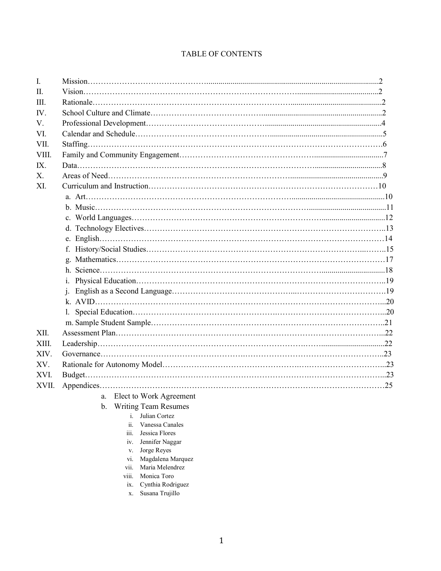| $\overline{I}$ . |                                               |  |
|------------------|-----------------------------------------------|--|
| $\Pi$            |                                               |  |
| Ш                |                                               |  |
| IV.              |                                               |  |
| V.               |                                               |  |
| VI.              |                                               |  |
| VII.             |                                               |  |
| VIII.            |                                               |  |
| IX.              |                                               |  |
| $X_{\cdot}$      |                                               |  |
| XI.              |                                               |  |
|                  |                                               |  |
|                  |                                               |  |
|                  |                                               |  |
|                  |                                               |  |
|                  |                                               |  |
|                  |                                               |  |
|                  |                                               |  |
|                  |                                               |  |
|                  |                                               |  |
|                  | İ.                                            |  |
|                  |                                               |  |
|                  |                                               |  |
|                  |                                               |  |
| XII.             |                                               |  |
| XIII.            |                                               |  |
| XIV.             |                                               |  |
| XV.              |                                               |  |
| XVI.             |                                               |  |
| XVII.            |                                               |  |
|                  | a. Elect to Work Agreement                    |  |
|                  | <b>Writing Team Resumes</b><br>$\mathbf{b}$ . |  |
|                  | i. Julian Cortez<br>Vanessa Canales           |  |
|                  | ii.<br>iii. Jessica Flores                    |  |
|                  |                                               |  |

- iv. Jennifer Naggar
- v. Jorge Reyes
- vi. Magdalena!Marquez
- vii. Maria Melendrez
- viii. Monica Toro
- ix. Cynthia Rodriguez
- x. Susana Trujillo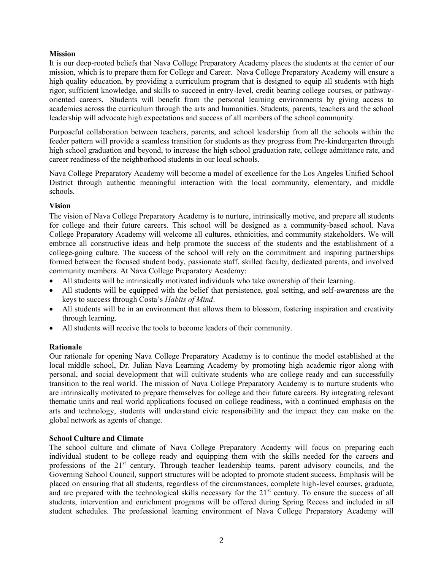## **Mission**

It is our deep-rooted beliefs that Nava College Preparatory Academy places the students at the center of our mission, which is to prepare them for College and Career. Nava College Preparatory Academy will ensure a high quality education, by providing a curriculum program that is designed to equip all students with high rigor, sufficient knowledge, and skills to succeed in entry-level, credit bearing college courses, or pathwayoriented careers. Students will benefit from the personal learning environments by giving access to academics across the curriculum through the arts and humanities. Students, parents, teachers and the school leadership will advocate high expectations and success of all members of the school community.

Purposeful collaboration between teachers, parents, and school leadership from all the schools within the feeder pattern will provide a seamless transition for students as they progress from Pre-kindergarten through high school graduation and beyond, to increase the high school graduation rate, college admittance rate, and career readiness of the neighborhood students in our local schools.

Nava College Preparatory Academy will become a model of excellence for the Los Angeles Unified School District through authentic meaningful interaction with the local community, elementary, and middle schools.

### **Vision!**

The vision of Nava College Preparatory Academy is to nurture, intrinsically motive, and prepare all students for college and their future careers. This school will be designed as a community-based school. Nava College Preparatory Academy will welcome all cultures, ethnicities, and community stakeholders. We will embrace all constructive ideas and help promote the success of the students and the establishment of a college-going culture. The success of the school will rely on the commitment and inspiring partnerships formed between the focused student body, passionate staff, skilled faculty, dedicated parents, and involved community members. At Nava College Preparatory Academy:

- All students will be intrinsically motivated individuals who take ownership of their learning.
- All students will be equipped with the belief that persistence, goal setting, and self-awareness are the keys to success through Costa's *Habits of Mind*.
- All students will be in an environment that allows them to blossom, fostering inspiration and creativity through learning.
- All students will receive the tools to become leaders of their community.

## **Rationale**

Our rationale for opening Nava College Preparatory Academy is to continue the model established at the local middle school, Dr. Julian Nava Learning Academy by promoting high academic rigor along with personal, and social development that will cultivate students who are college ready and can successfully transition to the real world. The mission of Nava College Preparatory Academy is to nurture students who are intrinsically motivated to prepare themselves for college and their future careers. By integrating relevant thematic units and real world applications focused on college readiness, with a continued emphasis on the arts and technology, students will understand civic responsibility and the impact they can make on the global network as agents of change.

## **School Culture and Climate**

The school culture and climate of Nava College Preparatory Academy will focus on preparing each individual student to be college ready and equipping them with the skills needed for the careers and professions of the 21<sup>st</sup> century. Through teacher leadership teams, parent advisory councils, and the Governing School Council, support structures will be adopted to promote student success. Emphasis will be placed on ensuring that all students, regardless of the circumstances, complete high-level courses, graduate, and are prepared with the technological skills necessary for the  $21<sup>st</sup>$  century. To ensure the success of all students, intervention and enrichment programs will be offered during Spring Recess and included in all student schedules. The professional learning environment of Nava College Preparatory Academy will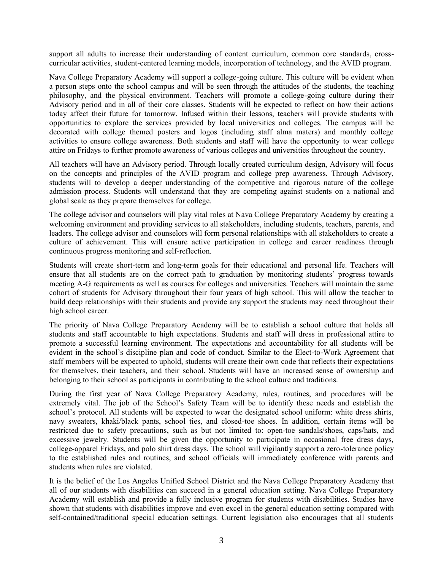support all adults to increase their understanding of content curriculum, common core standards, crosscurricular activities, student-centered learning models, incorporation of technology, and the AVID program.

Nava College Preparatory Academy will support a college-going culture. This culture will be evident when a person steps onto the school campus and will be seen through the attitudes of the students, the teaching philosophy, and the physical environment. Teachers will promote a college-going culture during their Advisory period and in all of their core classes. Students will be expected to reflect on how their actions today affect their future for tomorrow. Infused within their lessons, teachers will provide students with opportunities to explore the services provided by local universities and colleges. The campus will be decorated with college themed posters and logos (including staff alma maters) and monthly college activities to ensure college awareness. Both students and staff will have the opportunity to wear college attire on Fridays to further promote awareness of various colleges and universities throughout the country.

All teachers will have an Advisory period. Through locally created curriculum design, Advisory will focus on the concepts and principles of the AVID program and college prep awareness. Through Advisory, students will to develop a deeper understanding of the competitive and rigorous nature of the college admission process. Students will understand that they are competing against students on a national and global scale as they prepare themselves for college.

The college advisor and counselors will play vital roles at Nava College Preparatory Academy by creating a welcoming environment and providing services to all stakeholders, including students, teachers, parents, and leaders. The college advisor and counselors will form personal relationships with all stakeholders to create a culture of achievement. This will ensure active participation in college and career readiness through continuous progress monitoring and self-reflection.

Students will create short-term and long-term goals for their educational and personal life. Teachers will ensure that all students are on the correct path to graduation by monitoring students' progress towards meeting A-G requirements as well as courses for colleges and universities. Teachers will maintain the same cohort of students for Advisory throughout their four years of high school. This will allow the teacher to build deep relationships with their students and provide any support the students may need throughout their high school career.

The priority of Nava College Preparatory Academy will be to establish a school culture that holds all students and staff accountable to high expectations. Students and staff will dress in professional attire to promote a successful learning environment. The expectations and accountability for all students will be evident in the school's discipline plan and code of conduct. Similar to the Elect-to-Work Agreement that staff members will be expected to uphold, students will create their own code that reflects their expectations for themselves, their teachers, and their school. Students will have an increased sense of ownership and belonging to their school as participants in contributing to the school culture and traditions.

During the first year of Nava College Preparatory Academy, rules, routines, and procedures will be extremely vital. The job of the School's Safety Team will be to identify these needs and establish the school's protocol. All students will be expected to wear the designated school uniform: white dress shirts, navy sweaters, khaki/black pants, school ties, and closed-toe shoes. In addition, certain items will be restricted due to safety precautions, such as but not limited to: open-toe sandals/shoes, caps/hats, and excessive jewelry. Students will be given the opportunity to participate in occasional free dress days, college-apparel Fridays, and polo shirt dress days. The school will vigilantly support a zero-tolerance policy to the established rules and routines, and school officials will immediately conference with parents and students when rules are violated.

It is the belief of the Los Angeles Unified School District and the Nava College Preparatory Academy that all of our students with disabilities can succeed in a general education setting. Nava College Preparatory Academy will establish and provide a fully inclusive program for students with disabilities. Studies have shown that students with disabilities improve and even excel in the general education setting compared with self-contained/traditional special education settings. Current legislation also encourages that all students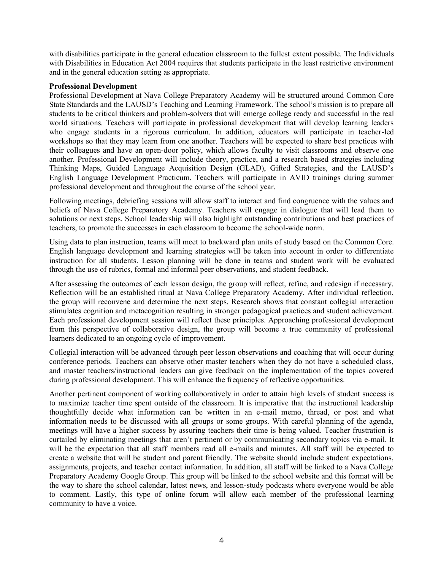with disabilities participate in the general education classroom to the fullest extent possible. The Individuals with Disabilities in Education Act 2004 requires that students participate in the least restrictive environment and in the general education setting as appropriate.

#### **Professional!Development!**

Professional Development at Nava College Preparatory Academy will be structured around Common Core State Standards and the LAUSD's Teaching and Learning Framework. The school's mission is to prepare all students to be critical thinkers and problem-solvers that will emerge college ready and successful in the real world situations. Teachers will participate in professional development that will develop learning leaders who engage students in a rigorous curriculum. In addition, educators will participate in teacher-led workshops so that they may learn from one another. Teachers will be expected to share best practices with their colleagues and have an open-door policy, which allows faculty to visit classrooms and observe one another. Professional Development will include theory, practice, and a research based strategies including Thinking Maps, Guided Language Acquisition Design (GLAD), Gifted Strategies, and the LAUSD's English Language Development Practicum. Teachers will participate in AVID trainings during summer professional development and throughout the course of the school year.

Following meetings, debriefing sessions will allow staff to interact and find congruence with the values and beliefs of Nava College Preparatory Academy. Teachers will engage in dialogue that will lead them to solutions or next steps. School leadership will also highlight outstanding contributions and best practices of teachers, to promote the successes in each classroom to become the school-wide norm.

Using data to plan instruction, teams will meet to backward plan units of study based on the Common Core. English language development and learning strategies will be taken into account in order to differentiate instruction for all students. Lesson planning will be done in teams and student work will be evaluated through the use of rubrics, formal and informal peer observations, and student feedback.

After assessing the outcomes of each lesson design, the group will reflect, refine, and redesign if necessary. Reflection will be an established ritual at Nava College Preparatory Academy. After individual reflection, the group will reconvene and determine the next steps. Research shows that constant collegial interaction stimulates cognition and metacognition resulting in stronger pedagogical practices and student achievement. Each professional development session will reflect these principles. Approaching professional development from this perspective of collaborative design, the group will become a true community of professional learners dedicated to an ongoing cycle of improvement.

Collegial interaction will be advanced through peer lesson observations and coaching that will occur during conference periods. Teachers can observe other master teachers when they do not have a scheduled class, and master teachers/instructional leaders can give feedback on the implementation of the topics covered during professional development. This will enhance the frequency of reflective opportunities.

Another pertinent component of working collaboratively in order to attain high levels of student success is to maximize teacher time spent outside of the classroom. It is imperative that the instructional leadership thoughtfully decide what information can be written in an e-mail memo, thread, or post and what information needs to be discussed with all groups or some groups. With careful planning of the agenda, meetings will have a higher success by assuring teachers their time is being valued. Teacher frustration is curtailed by eliminating meetings that aren't pertinent or by communicating secondary topics via e-mail. It will be the expectation that all staff members read all e-mails and minutes. All staff will be expected to create a website that will be student and parent friendly. The website should include student expectations, assignments, projects, and teacher contact information. In addition, all staff will be linked to a Nava College Preparatory Academy Google Group. This group will be linked to the school website and this format will be the way to share the school calendar, latest news, and lesson-study podcasts where everyone would be able to comment. Lastly, this type of online forum will allow each member of the professional learning community to have a voice.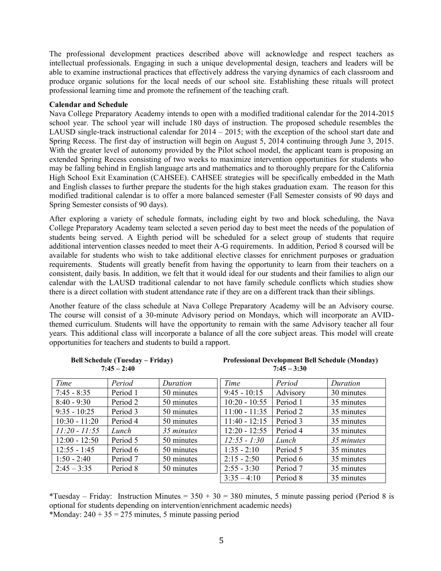The professional development practices described above will acknowledge and respect teachers as intellectual professionals. Engaging in such a unique developmental design, teachers and leaders will be able to examine instructional practices that effectively address the varying dynamics of each classroom and produce organic solutions for the local needs of our school site. Establishing these rituals will protect professional learning time and promote the refinement of the teaching craft.

#### **Calendar!and!Schedule!**

Nava College Preparatory Academy intends to open with a modified traditional calendar for the 2014-2015 school year. The school year will include 180 days of instruction. The proposed schedule resembles the LAUSD single-track instructional calendar for  $2014 - 2015$ ; with the exception of the school start date and Spring Recess. The first day of instruction will begin on August 5, 2014 continuing through June 3, 2015. With the greater level of autonomy provided by the Pilot school model, the applicant team is proposing an extended Spring Recess consisting of two weeks to maximize intervention opportunities for students who may be falling behind in English language arts and mathematics and to thoroughly prepare for the California High School Exit Examination (CAHSEE). CAHSEE strategies will be specifically embedded in the Math and English classes to further prepare the students for the high stakes graduation exam. The reason for this modified traditional calendar is to offer a more balanced semester (Fall Semester consists of 90 days and Spring Semester consists of 90 days).

After exploring a variety of schedule formats, including eight by two and block scheduling, the Nava College Preparatory Academy team selected a seven period day to best meet the needs of the population of students being served. A Eighth period will be scheduled for a select group of students that require additional intervention classes needed to meet their A-G requirements. In addition, Period 8 coursed will be available for students who wish to take additional elective classes for enrichment purposes or graduation requirements. Students will greatly benefit from having the opportunity to learn from their teachers on a consistent, daily basis. In addition, we felt that it would ideal for our students and their families to align our calendar with the LAUSD traditional calendar to not have family schedule conflicts which studies show there is a direct collation with student attendance rate if they are on a different track than their siblings.

Another feature of the class schedule at Nava College Preparatory Academy will be an Advisory course. The course will consist of a 30-minute Advisory period on Mondays, which will incorporate an AVIDthemed curriculum. Students will have the opportunity to remain with the same Advisory teacher all four years. This additional class will incorporate a balance of all the core subject areas. This model will create opportunities for teachers and students to build a rapport.

|                 | $7:45 - 2:40$ |            | $7:45 - 3:30$   |          |            |
|-----------------|---------------|------------|-----------------|----------|------------|
| Time            | Period        | Duration   | Time            | Period   | Duration   |
| $7:45 - 8:35$   | Period 1      | 50 minutes | $9:45 - 10:15$  | Advisory | 30 minutes |
| $8:40 - 9:30$   | Period 2      | 50 minutes | $10:20 - 10:55$ | Period 1 | 35 minutes |
| $9:35 - 10:25$  | Period 3      | 50 minutes | $11:00 - 11:35$ | Period 2 | 35 minutes |
| $10:30 - 11:20$ | Period 4      | 50 minutes | $11:40 - 12:15$ | Period 3 | 35 minutes |
| $11:20 - 11:55$ | Lunch         | 35 minutes | $12:20 - 12:55$ | Period 4 | 35 minutes |
| $12:00 - 12:50$ | Period 5      | 50 minutes | $12:55 - 1:30$  | Lunch    | 35 minutes |
| $12:55 - 1:45$  | Period 6      | 50 minutes | $1:35 - 2:10$   | Period 5 | 35 minutes |
| $1:50 - 2:40$   | Period 7      | 50 minutes | $2:15 - 2:50$   | Period 6 | 35 minutes |
| $2:45 - 3:35$   | Period 8      | 50 minutes | $2:55 - 3:30$   | Period 7 | 35 minutes |
|                 |               |            | $3.35 - 4.10$   | Period 8 | 35 minutes |

**Professional Development Bell Schedule (Monday) 2 <b>Professional Development Bell Schedule** (Monday)

\*Tuesday – Friday: Instruction Minutes =  $350 + 30 = 380$  minutes, 5 minute passing period (Period 8 is optional for students depending on intervention/enrichment academic needs) \*Monday:  $240 + 35 = 275$  minutes, 5 minute passing period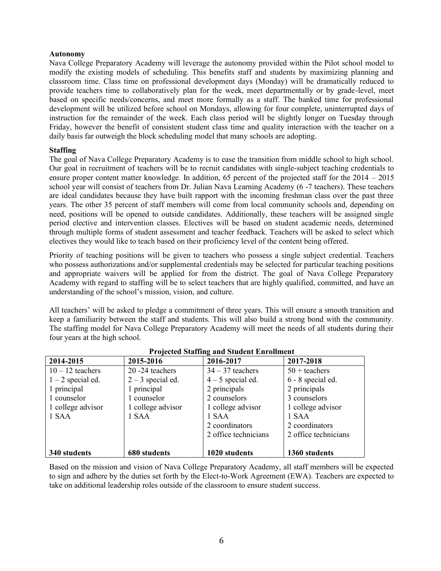#### **Autonomy**

Nava College Preparatory Academy will leverage the autonomy provided within the Pilot school model to modify the existing models of scheduling. This benefits staff and students by maximizing planning and classroom time. Class time on professional development days (Monday) will be dramatically reduced to provide teachers time to collaboratively plan for the week, meet departmentally or by grade-level, meet based on specific needs/concerns, and meet more formally as a staff. The banked time for professional development will be utilized before school on Mondays, allowing for four complete, uninterrupted days of instruction for the remainder of the week. Each class period will be slightly longer on Tuesday through Friday, however the benefit of consistent student class time and quality interaction with the teacher on a daily basis far outweigh the block scheduling model that many schools are adopting.

#### **Staffing!**

The goal of Nava College Preparatory Academy is to ease the transition from middle school to high school. Our goal in recruitment of teachers will be to recruit candidates with single-subject teaching credentials to ensure proper content matter knowledge. In addition, 65 percent of the projected staff for the  $2014 - 2015$ school year will consist of teachers from Dr. Julian Nava Learning Academy (6-7 teachers). These teachers are ideal candidates because they have built rapport with the incoming freshman class over the past three years. The other 35 percent of staff members will come from local community schools and, depending on need, positions will be opened to outside candidates. Additionally, these teachers will be assigned single period elective and intervention classes. Electives will be based on student academic needs, determined through multiple forms of student assessment and teacher feedback. Teachers will be asked to select which electives they would like to teach based on their proficiency level of the content being offered.

Priority of teaching positions will be given to teachers who possess a single subject credential. Teachers who possess authorizations and/or supplemental credentials may be selected for particular teaching positions and appropriate waivers will be applied for from the district. The goal of Nava College Preparatory Academy with regard to staffing will be to select teachers that are highly qualified, committed, and have an understanding of the school's mission, vision, and culture.

All teachers' will be asked to pledge a commitment of three years. This will ensure a smooth transition and keep a familiarity between the staff and students. This will also build a strong bond with the community. The staffing model for Nava College Preparatory Academy will meet the needs of all students during their four years at the high school.

| 2014-2015           | 2015-2016           | 2016-2017            | 2017-2018              |
|---------------------|---------------------|----------------------|------------------------|
| $10 - 12$ teachers  | 20 -24 teachers     | $34 - 37$ teachers   | $50 + \text{teachers}$ |
| $1 - 2$ special ed. | $2 - 3$ special ed. | $4 - 5$ special ed.  | 6 - 8 special ed.      |
| 1 principal         | 1 principal         | 2 principals         | 2 principals           |
| 1 counselor         | 1 counselor         | 2 counselors         | 3 counselors           |
| 1 college advisor   | 1 college advisor   | 1 college advisor    | 1 college advisor      |
| 1 SAA               | 1 SAA               | 1 SAA                | 1 SAA                  |
|                     |                     | 2 coordinators       | 2 coordinators         |
|                     |                     | 2 office technicians | 2 office technicians   |
|                     |                     |                      |                        |
| 340 students        | <b>680</b> students | 1020 students        | 1360 students          |

#### **Projected!Staffing!and!Student!Enrollment**

Based on the mission and vision of Nava College Preparatory Academy, all staff members will be expected to sign and adhere by the duties set forth by the Elect-to-Work Agreement (EWA). Teachers are expected to take on additional leadership roles outside of the classroom to ensure student success.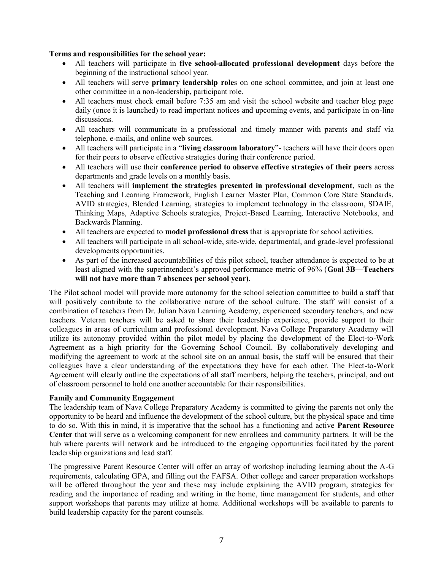#### Terms and responsibilities for the school year:

- All teachers will participate in five school-allocated professional development days before the beginning of the instructional school year.
- All teachers will serve **primary leadership role**s on one school committee, and join at least one other committee in a non-leadership, participant role.
- All teachers must check email before 7:35 am and visit the school website and teacher blog page daily (once it is launched) to read important notices and upcoming events, and participate in on-line discussions.
- All teachers will communicate in a professional and timely manner with parents and staff via telephone, e-mails, and online web sources.
- All teachers will participate in a "**living classroom laboratory**"- teachers will have their doors open for their peers to observe effective strategies during their conference period.
- All teachers will use their **conference period to observe effective strategies of their peers** across departments and grade levels on a monthly basis.
- All teachers will **implement the strategies presented in professional development**, such as the Teaching and Learning Framework, English Learner Master Plan, Common Core State Standards, AVID strategies, Blended Learning, strategies to implement technology in the classroom, SDAIE, Thinking Maps, Adaptive Schools strategies, Project-Based Learning, Interactive Notebooks, and Backwards Planning.
- All teachers are expected to **model professional dress** that is appropriate for school activities.
- All teachers will participate in all school-wide, site-wide, departmental, and grade-level professional developments opportunities.
- As part of the increased accountabilities of this pilot school, teacher attendance is expected to be at least aligned with the superintendent's approved performance metric of 96% (Goal 3B—Teachers will not have more than 7 absences per school year).

The Pilot school model will provide more autonomy for the school selection committee to build a staff that will positively contribute to the collaborative nature of the school culture. The staff will consist of a combination of teachers from Dr. Julian Nava Learning Academy, experienced secondary teachers, and new teachers. Veteran teachers will be asked to share their leadership experience, provide support to their colleagues in areas of curriculum and professional development. Nava College Preparatory Academy will utilize its autonomy provided within the pilot model by placing the development of the Elect-to-Work Agreement as a high priority for the Governing School Council. By collaboratively developing and modifying the agreement to work at the school site on an annual basis, the staff will be ensured that their colleagues have a clear understanding of the expectations they have for each other. The Elect-to-Work Agreement will clearly outline the expectations of all staff members, helping the teachers, principal, and out of classroom personnel to hold one another accountable for their responsibilities.

#### **Family and Community Engagement**

The leadership team of Nava College Preparatory Academy is committed to giving the parents not only the opportunity to be heard and influence the development of the school culture, but the physical space and time to do so. With this in mind, it is imperative that the school has a functioning and active **Parent Resource** Center that will serve as a welcoming component for new enrollees and community partners. It will be the hub where parents will network and be introduced to the engaging opportunities facilitated by the parent leadership organizations and lead staff.

The progressive Parent Resource Center will offer an array of workshop including learning about the A-G requirements, calculating GPA, and filling out the FAFSA. Other college and career preparation workshops will be offered throughout the year and these may include explaining the AVID program, strategies for reading and the importance of reading and writing in the home, time management for students, and other support workshops that parents may utilize at home. Additional workshops will be available to parents to build leadership capacity for the parent counsels.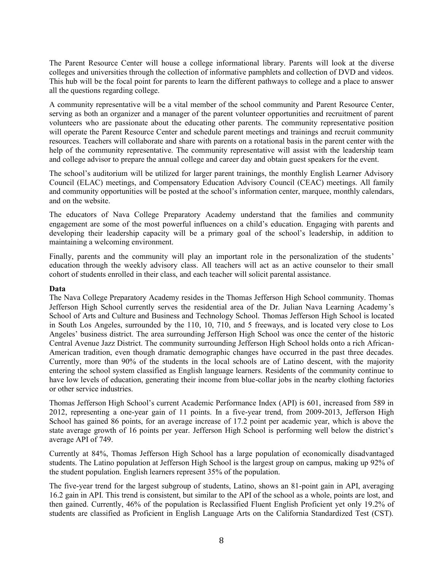The Parent Resource Center will house a college informational library. Parents will look at the diverse colleges and universities through the collection of informative pamphlets and collection of DVD and videos. This hub will be the focal point for parents to learn the different pathways to college and a place to answer all the questions regarding college.

A community representative will be a vital member of the school community and Parent Resource Center, serving as both an organizer and a manager of the parent volunteer opportunities and recruitment of parent volunteers who are passionate about the educating other parents. The community representative position will operate the Parent Resource Center and schedule parent meetings and trainings and recruit community resources. Teachers will collaborate and share with parents on a rotational basis in the parent center with the help of the community representative. The community representative will assist with the leadership team and college advisor to prepare the annual college and career day and obtain guest speakers for the event.

The school's auditorium will be utilized for larger parent trainings, the monthly English Learner Advisory Council (ELAC) meetings, and Compensatory Education Advisory Council (CEAC) meetings. All family and community opportunities will be posted at the school's information center, marquee, monthly calendars, and on the website.

The educators of Nava College Preparatory Academy understand that the families and community engagement are some of the most powerful influences on a child's education. Engaging with parents and developing their leadership capacity will be a primary goal of the school's leadership, in addition to maintaining a welcoming environment.

Finally, parents and the community will play an important role in the personalization of the students' education through the weekly advisory class. All teachers will act as an active counselor to their small cohort of students enrolled in their class, and each teacher will solicit parental assistance.

#### **Data!**

The Nava College Preparatory Academy resides in the Thomas Jefferson High School community. Thomas Jefferson High School currently serves the residential area of the Dr. Julian Nava Learning Academy's School of Arts and Culture and Business and Technology School. Thomas Jefferson High School is located in South Los Angeles, surrounded by the 110, 10, 710, and 5 freeways, and is located very close to Los Angeles' business district. The area surrounding Jefferson High School was once the center of the historic Central Avenue Jazz District. The community surrounding Jefferson High School holds onto a rich African-American tradition, even though dramatic demographic changes have occurred in the past three decades. Currently, more than 90% of the students in the local schools are of Latino descent, with the majority entering the school system classified as English language learners. Residents of the community continue to have low levels of education, generating their income from blue-collar jobs in the nearby clothing factories or other service industries.

Thomas Jefferson High School's current Academic Performance Index (API) is 601, increased from 589 in 2012, representing a one-year gain of 11 points. In a five-year trend, from 2009-2013, Jefferson High School has gained 86 points, for an average increase of 17.2 point per academic year, which is above the state average growth of 16 points per year. Jefferson High School is performing well below the district's average API of 749.

Currently at 84%, Thomas Jefferson High School has a large population of economically disadvantaged students. The Latino population at Jefferson High School is the largest group on campus, making up 92% of the student population. English learners represent 35% of the population.

The five-year trend for the largest subgroup of students, Latino, shows an 81-point gain in API, averaging 16.2 gain in API. This trend is consistent, but similar to the API of the school as a whole, points are lost, and then gained. Currently,  $46\%$  of the population is Reclassified Fluent English Proficient vet only 19.2% of students are classified as Proficient in English Language Arts on the California Standardized Test (CST).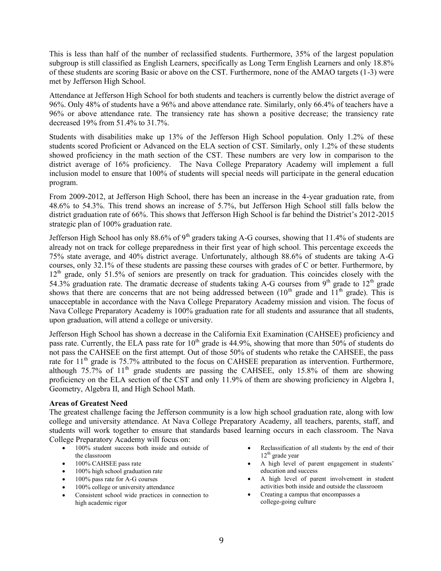This is less than half of the number of reclassified students. Furthermore, 35% of the largest population subgroup is still classified as English Learners, specifically as Long Term English Learners and only 18.8% of these students are scoring Basic or above on the CST. Furthermore, none of the AMAO targets (1-3) were met by Jefferson High School.

Attendance at Jefferson High School for both students and teachers is currently below the district average of 96%. Only 48% of students have a 96% and above attendance rate. Similarly, only 66.4% of teachers have a 96% or above attendance rate. The transiency rate has shown a positive decrease; the transiency rate decreased 19% from 51.4% to 31.7%.

Students with disabilities make up 13% of the Jefferson High School population. Only 1.2% of these students scored Proficient or Advanced on the ELA section of CST. Similarly, only 1.2% of these students showed proficiency in the math section of the CST. These numbers are very low in comparison to the district average of 16% proficiency. The Nava College Preparatory Academy will implement a full inclusion model to ensure that 100% of students will special needs will participate in the general education program.

From 2009-2012, at Jefferson High School, there has been an increase in the 4-year graduation rate, from  $48.6\%$  to  $54.3\%$ . This trend shows an increase of  $5.7\%$ , but Jefferson High School still falls below the district graduation rate of 66%. This shows that Jefferson High School is far behind the District's 2012-2015 strategic plan of 100% graduation rate.

Jefferson High School has only 88.6% of 9<sup>th</sup> graders taking A-G courses, showing that 11.4% of students are already not on track for college preparedness in their first year of high school. This percentage exceeds the 75% state average, and 40% district average. Unfortunately, although 88.6% of students are taking A-G courses, only 32.1% of these students are passing these courses with grades of C or better. Furthermore, by  $12<sup>th</sup>$  grade, only 51.5% of seniors are presently on track for graduation. This coincides closely with the 54.3% graduation rate. The dramatic decrease of students taking A-G courses from 9<sup>th</sup> grade to 12<sup>th</sup> grade shows that there are concerns that are not being addressed between  $(10<sup>th</sup>$  grade and  $11<sup>th</sup>$  grade). This is unacceptable in accordance with the Nava College Preparatory Academy mission and vision. The focus of Nava College Preparatory Academy is 100% graduation rate for all students and assurance that all students, upon graduation, will attend a college or university.

Jefferson High School has shown a decrease in the California Exit Examination (CAHSEE) proficiency and pass rate. Currently, the ELA pass rate for  $10^{th}$  grade is 44.9%, showing that more than 50% of students do not pass the CAHSEE on the first attempt. Out of those 50% of students who retake the CAHSEE, the pass rate for  $11<sup>th</sup>$  grade is 75.7% attributed to the focus on CAHSEE preparation as intervention. Furthermore, although  $75.7\%$  of  $11^{th}$  grade students are passing the CAHSEE, only 15.8% of them are showing proficiency on the ELA section of the CST and only 11.9% of them are showing proficiency in Algebra I, Geometry, Algebra II, and High School Math.

#### **Areas of Greatest Need**

The greatest challenge facing the Jefferson community is a low high school graduation rate, along with low college and university attendance. At Nava College Preparatory Academy, all teachers, parents, staff, and students will work together to ensure that standards based learning occurs in each classroom. The Nava College Preparatory Academy will focus on:

- 100% student success both inside and outside of the classroom
- 100% CAHSEE pass rate
- 100% high school graduation rate
- 100% pass rate for A-G courses
- 100% college or university attendance
- Consistent school wide practices in connection to high academic rigor
- Reclassification of all students by the end of their  $12<sup>th</sup>$  grade year
- A high level of parent engagement in students' education and success
- A high level of parent involvement in student activities both inside and outside the classroom
- Creating a campus that encompasses a college-going culture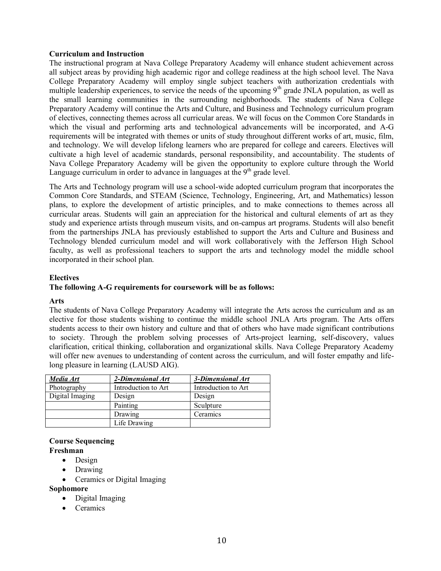#### **Curriculum!and!Instruction**

The instructional program at Nava College Preparatory Academy will enhance student achievement across all subject areas by providing high academic rigor and college readiness at the high school level. The Nava College Preparatory Academy will employ single subject teachers with authorization credentials with multiple leadership experiences, to service the needs of the upcoming  $9<sup>th</sup>$  grade JNLA population, as well as the small learning communities in the surrounding neighborhoods. The students of Nava College Preparatory Academy will continue the Arts and Culture, and Business and Technology curriculum program of electives, connecting themes across all curricular areas. We will focus on the Common Core Standards in which the visual and performing arts and technological advancements will be incorporated, and A-G requirements will be integrated with themes or units of study throughout different works of art, music, film, and technology. We will develop lifelong learners who are prepared for college and careers. Electives will cultivate a high level of academic standards, personal responsibility, and accountability. The students of Nava College Preparatory Academy will be given the opportunity to explore culture through the World Language curriculum in order to advance in languages at the  $9<sup>th</sup>$  grade level.

The Arts and Technology program will use a school-wide adopted curriculum program that incorporates the Common Core Standards, and STEAM (Science, Technology, Engineering, Art, and Mathematics) lesson plans, to explore the development of artistic principles, and to make connections to themes across all curricular areas. Students will gain an appreciation for the historical and cultural elements of art as they study and experience artists through museum visits, and on-campus art programs. Students will also benefit from the partnerships JNLA has previously established to support the Arts and Culture and Business and Technology blended curriculum model and will work collaboratively with the Jefferson High School faculty, as well as professional teachers to support the arts and technology model the middle school incorporated in their school plan.

#### **Electives** The following A-G requirements for coursework will be as follows:

#### **Arts**

The students of Nava College Preparatory Academy will integrate the Arts across the curriculum and as an elective for those students wishing to continue the middle school JNLA Arts program. The Arts offers students access to their own history and culture and that of others who have made significant contributions to society. Through the problem solving processes of Arts-project learning, self-discovery, values clarification, critical thinking, collaboration and organizational skills. Nava College Preparatory Academy will offer new avenues to understanding of content across the curriculum, and will foster empathy and lifelong pleasure in learning (LAUSD AIG).

| <b>Media Art</b> | 2-Dimensional Art   | 3-Dimensional Art   |
|------------------|---------------------|---------------------|
| Photography      | Introduction to Art | Introduction to Art |
| Digital Imaging  | Design              | Design              |
|                  | Painting            | Sculpture           |
|                  | Drawing             | Ceramics            |
|                  | Life Drawing        |                     |

#### **Course!Sequencing Freshman**

- - $\bullet$  Design
	- **Drawing**
	- Ceramics or Digital Imaging

#### **Sophomore**

- Digital Imaging
- **Ceramics**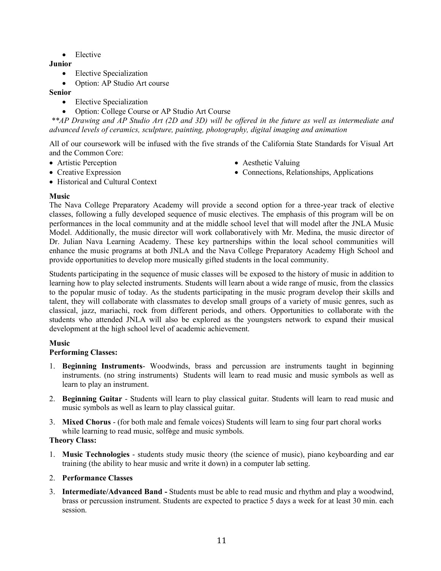• Elective

## **Junior**

- Elective Specialization
- Option: AP Studio Art course

## **Senior**

- Elective Specialization
- Option: College Course or AP Studio Art Course

\*\**AP'Drawing and AP'Studio Art (2D'and 3D) will be offered in the future as well as intermediate and advanced'levels'of'ceramics,'sculpture,'painting, photography,'digital'imaging'and'animation*

All of our coursework will be infused with the five strands of the California State Standards for Visual Art and the Common Core:

- Artistic Perception
- Creative Expression
- Aesthetic Valuing
- Connections, Relationships, Applications

 $\bullet$  Historical and Cultural Context

## **Music!**

The Nava College Preparatory Academy will provide a second option for a three-year track of elective classes, following a fully developed sequence of music electives. The emphasis of this program will be on performances in the local community and at the middle school level that will model after the JNLA Music Model. Additionally, the music director will work collaboratively with Mr. Medina, the music director of Dr. Julian Nava Learning Academy. These key partnerships within the local school communities will enhance the music programs at both JNLA and the Nava College Preparatory Academy High School and provide opportunities to develop more musically gifted students in the local community.

Students participating in the sequence of music classes will be exposed to the history of music in addition to learning how to play selected instruments. Students will learn about a wide range of music, from the classics to the popular music of today. As the students participating in the music program develop their skills and talent, they will collaborate with classmates to develop small groups of a variety of music genres, such as classical, jazz, mariachi, rock from different periods, and others. Opportunities to collaborate with the students who attended JNLA will also be explored as the youngsters network to expand their musical development at the high school level of academic achievement.

# **Music**

## **Performing!Classes:**

- 1. **Beginning Instruments** Woodwinds, brass and percussion are instruments taught in beginning instruments. (no string instruments) Students will learn to read music and music symbols as well as learn to play an instrument.
- 2. **Beginning Guitar** Students will learn to play classical guitar. Students will learn to read music and music symbols as well as learn to play classical guitar.
- 3. **Mixed Chorus** (for both male and female voices) Students will learn to sing four part choral works while learning to read music, solfège and music symbols.

## **Theory!Class:**

1. **Music Technologies** - students study music theory (the science of music), piano keyboarding and ear training (the ability to hear music and write it down) in a computer lab setting.

## 2. **Performance!Classes**

3. **Intermediate/Advanced Band** - Students must be able to read music and rhythm and play a woodwind, brass or percussion instrument. Students are expected to practice 5 days a week for at least 30 min. each session.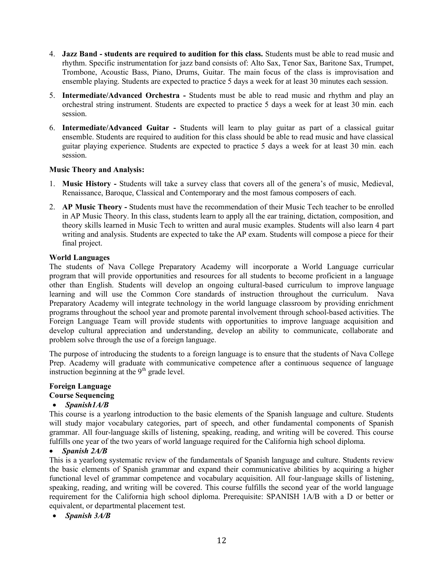- 4. **Jazz Band students are required to audition for this class.** Students must be able to read music and rhythm. Specific instrumentation for jazz band consists of: Alto Sax, Tenor Sax, Baritone Sax, Trumpet, Trombone, Acoustic Bass, Piano, Drums, Guitar. The main focus of the class is improvisation and ensemble playing. Students are expected to practice 5 days a week for at least 30 minutes each session.
- 5. **Intermediate/Advanced Orchestra** Students must be able to read music and rhythm and play an orchestral string instrument. Students are expected to practice 5 days a week for at least 30 min. each session.
- 6. **Intermediate/Advanced Guitar** Students will learn to play guitar as part of a classical guitar ensemble. Students are required to audition for this class should be able to read music and have classical guitar playing experience. Students are expected to practice 5 days a week for at least 30 min. each session.

#### **Music Theory and Analysis:**

- 1. **Music History** Students will take a survey class that covers all of the genera's of music, Medieval, Renaissance, Baroque, Classical and Contemporary and the most famous composers of each.
- 2. **AP Music Theory -** Students must have the recommendation of their Music Tech teacher to be enrolled in AP Music Theory. In this class, students learn to apply all the ear training, dictation, composition, and theory skills learned in Music Tech to written and aural music examples. Students will also learn 4 part writing and analysis. Students are expected to take the AP exam. Students will compose a piece for their final project.

### **World!Languages**

The students of Nava College Preparatory Academy will incorporate a World Language curricular program that will provide opportunities and resources for all students to become proficient in a language other than English. Students will develop an ongoing cultural-based curriculum to improve language learning and will use the Common Core standards of instruction throughout the curriculum. Nava Preparatory Academy will integrate technology in the world language classroom by providing enrichment programs throughout the school year and promote parental involvement through school-based activities. The Foreign Language Team will provide students with opportunities to improve language acquisition and develop cultural appreciation and understanding, develop an ability to communicate, collaborate and problem solve through the use of a foreign language.

The purpose of introducing the students to a foreign language is to ensure that the students of Nava College Prep. Academy will graduate with communicative competence after a continuous sequence of language instruction beginning at the  $9<sup>th</sup>$  grade level.

## **Foreign!Language Course Sequencing**

## x *Spanish1A/B*

This course is a yearlong introduction to the basic elements of the Spanish language and culture. Students will study major vocabulary categories, part of speech, and other fundamental components of Spanish grammar. All four-language skills of listening, speaking, reading, and writing will be covered. This course fulfills one year of the two years of world language required for the California high school diploma.

#### Spanish  $2A/B$

This is a yearlong systematic review of the fundamentals of Spanish language and culture. Students review the basic elements of Spanish grammar and expand their communicative abilities by acquiring a higher functional level of grammar competence and vocabulary acquisition. All four-language skills of listening, speaking, reading, and writing will be covered. This course fulfills the second year of the world language requirement for the California high school diploma. Prerequisite: SPANISH 1A/B with a D or better or equivalent, or departmental placement test.

• *Spanish 3A/B*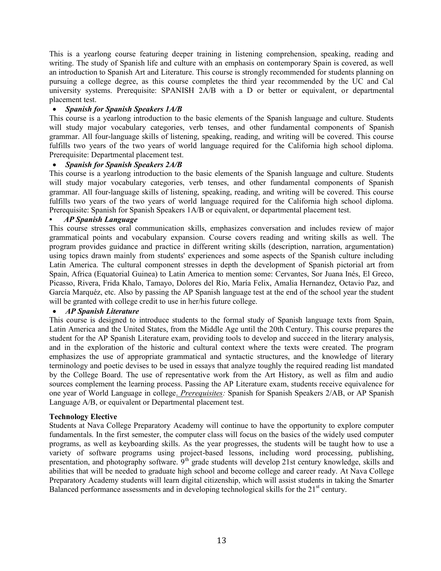This is a yearlong course featuring deeper training in listening comprehension, speaking, reading and writing. The study of Spanish life and culture with an emphasis on contemporary Spain is covered, as well an introduction to Spanish Art and Literature. This course is strongly recommended for students planning on pursuing a college degree, as this course completes the third year recommended by the UC and Cal university systems. Prerequisite: SPANISH 2A/B with a D or better or equivalent, or departmental placement test.

## • *Spanish for Spanish Speakers 1A/B*

This course is a yearlong introduction to the basic elements of the Spanish language and culture. Students will study major vocabulary categories, verb tenses, and other fundamental components of Spanish grammar. All four-language skills of listening, speaking, reading, and writing will be covered. This course fulfills two years of the two years of world language required for the California high school diploma. Prerequisite: Departmental placement test.

### • *Spanish for Spanish Speakers 2A/B*

This course is a yearlong introduction to the basic elements of the Spanish language and culture. Students will study major vocabulary categories, verb tenses, and other fundamental components of Spanish grammar. All four-language skills of listening, speaking, reading, and writing will be covered. This course fulfills two years of the two years of world language required for the California high school diploma. Prerequisite: Spanish for Spanish Speakers 1A/B or equivalent, or departmental placement test.

#### *&&&&&&AP&Spanish&Language*

This course stresses oral communication skills, emphasizes conversation and includes review of major grammatical points and vocabulary expansion. Course covers reading and writing skills as well. The program provides guidance and practice in different writing skills (description, narration, argumentation) using topics drawn mainly from students' experiences and some aspects of the Spanish culture including Latin America. The cultural component stresses in depth the development of Spanish pictorial art from Spain, Africa (Equatorial Guinea) to Latin America to mention some: Cervantes, Sor Juana Inés, El Greco, Picasso, Rivera, Frida Khalo, Tamayo, Dolores del Río, María Felix, Amalia Hernandez, Octavio Paz, and García Marquéz, etc. Also by passing the AP Spanish language test at the end of the school year the student will be granted with college credit to use in her/his future college.

#### x *AP&Spanish&Literature*

This course is designed to introduce students to the formal study of Spanish language texts from Spain, Latin America and the United States, from the Middle Age until the 20th Century. This course prepares the student for the AP Spanish Literature exam, providing tools to develop and succeed in the literary analysis, and in the exploration of the historic and cultural context where the texts were created. The program emphasizes the use of appropriate grammatical and syntactic structures, and the knowledge of literary terminology and poetic devises to be used in essays that analyze toughly the required reading list mandated by the College Board. The use of representative work from the Art History, as well as film and audio sources complement the learning process. Passing the AP Literature exam, students receive equivalence for one year of World Language in college. *Prerequisites:* Spanish for Spanish Speakers 2/AB, or AP Spanish Language A/B, or equivalent or Departmental placement test.

#### **Technology!Elective**

Students at Nava College Preparatory Academy will continue to have the opportunity to explore computer fundamentals. In the first semester, the computer class will focus on the basics of the widely used computer programs, as well as keyboarding skills. As the year progresses, the students will be taught how to use a variety of software programs using project-based lessons, including word processing, publishing, presentation, and photography software.  $9<sup>th</sup>$  grade students will develop 21st century knowledge, skills and abilities that will be needed to graduate high school and become college and career ready. At Nava College Preparatory Academy students will learn digital citizenship, which will assist students in taking the Smarter Balanced performance assessments and in developing technological skills for the  $21<sup>st</sup>$  century.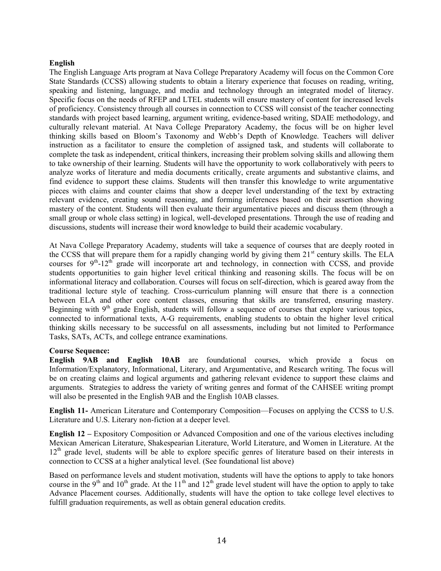## **English**

The English Language Arts program at Nava College Preparatory Academy will focus on the Common Core State Standards (CCSS) allowing students to obtain a literary experience that focuses on reading, writing, speaking and listening, language, and media and technology through an integrated model of literacy. Specific focus on the needs of RFEP and LTEL students will ensure mastery of content for increased levels of proficiency. Consistency through all courses in connection to CCSS will consist of the teacher connecting standards with project based learning, argument writing, evidence-based writing, SDAIE methodology, and culturally relevant material. At Nava College Preparatory Academy, the focus will be on higher level thinking skills based on Bloom's Taxonomy and Webb's Depth of Knowledge. Teachers will deliver instruction as a facilitator to ensure the completion of assigned task, and students will collaborate to complete the task as independent, critical thinkers, increasing their problem solving skills and allowing them to take ownership of their learning. Students will have the opportunity to work collaboratively with peers to analyze works of literature and media documents critically, create arguments and substantive claims, and find evidence to support these claims. Students will then transfer this knowledge to write argumentative pieces with claims and counter claims that show a deeper level understanding of the text by extracting relevant evidence, creating sound reasoning, and forming inferences based on their assertion showing mastery of the content. Students will then evaluate their argumentative pieces and discuss them (through a small group or whole class setting) in logical, well-developed presentations. Through the use of reading and discussions, students will increase their word knowledge to build their academic vocabulary.

At Nava College Preparatory Academy, students will take a sequence of courses that are deeply rooted in the CCSS that will prepare them for a rapidly changing world by giving them  $21<sup>st</sup>$  century skills. The ELA courses for  $9<sup>th</sup>-12<sup>th</sup>$  grade will incorporate art and technology, in connection with CCSS, and provide students opportunities to gain higher level critical thinking and reasoning skills. The focus will be on informational literacy and collaboration. Courses will focus on self-direction, which is geared away from the traditional lecture style of teaching. Cross-curriculum planning will ensure that there is a connection between ELA and other core content classes, ensuring that skills are transferred, ensuring mastery. Beginning with  $9<sup>th</sup>$  grade English, students will follow a sequence of courses that explore various topics, connected to informational texts, A-G requirements, enabling students to obtain the higher level critical thinking skills necessary to be successful on all assessments, including but not limited to Performance Tasks, SATs, ACTs, and college entrance examinations.

#### **Course Sequence:**

**English 9AB and English 10AB** are foundational courses, which provide a focus on Information/Explanatory, Informational, Literary, and Argumentative, and Research writing. The focus will be on creating claims and logical arguments and gathering relevant evidence to support these claims and arguments. Strategies to address the variety of writing genres and format of the CAHSEE writing prompt will also be presented in the English 9AB and the English 10AB classes.

**English 11-** American Literature and Contemporary Composition—Focuses on applying the CCSS to U.S. Literature and U.S. Literary non-fiction at a deeper level.

**English 12 – Expository Composition or Advanced Composition and one of the various electives including** Mexican American Literature, Shakespearian Literature, World Literature, and Women in Literature. At the  $12<sup>th</sup>$  grade level, students will be able to explore specific genres of literature based on their interests in connection to CCSS at a higher analytical level. (See foundational list above)

Based on performance levels and student motivation, students will have the options to apply to take honors course in the 9<sup>th</sup> and 10<sup>th</sup> grade. At the 11<sup>th</sup> and 12<sup>th</sup> grade level student will have the option to apply to take Advance Placement courses. Additionally, students will have the option to take college level electives to fulfill graduation requirements, as well as obtain general education credits.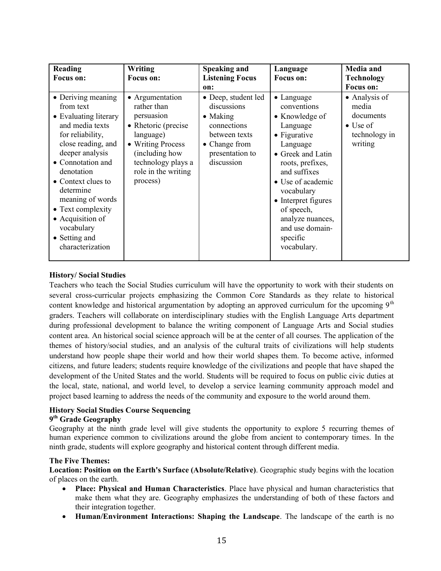| Reading<br>Focus on:                                                                                                                                                                                                                                                                                                           | Writing<br>Focus on:                                                                                                                                                              | <b>Speaking and</b><br><b>Listening Focus</b><br>on:                                                                             | Language<br>Focus on:                                                                                                                                                                                                                                                                                  | <b>Media</b> and<br><b>Technology</b><br>Focus on:                                  |
|--------------------------------------------------------------------------------------------------------------------------------------------------------------------------------------------------------------------------------------------------------------------------------------------------------------------------------|-----------------------------------------------------------------------------------------------------------------------------------------------------------------------------------|----------------------------------------------------------------------------------------------------------------------------------|--------------------------------------------------------------------------------------------------------------------------------------------------------------------------------------------------------------------------------------------------------------------------------------------------------|-------------------------------------------------------------------------------------|
| • Deriving meaning<br>from text<br>• Evaluating literary<br>and media texts<br>for reliability,<br>close reading, and<br>deeper analysis<br>• Connotation and<br>denotation<br>• Context clues to<br>determine<br>meaning of words<br>• Text complexity<br>• Acquisition of<br>vocabulary<br>• Setting and<br>characterization | • Argumentation<br>rather than<br>persuasion<br>• Rhetoric (precise)<br>language)<br>• Writing Process<br>(including how<br>technology plays a<br>role in the writing<br>process) | • Deep, student led<br>discussions<br>• Making<br>connections<br>between texts<br>• Change from<br>presentation to<br>discussion | $\bullet$ Language<br>conventions<br>• Knowledge of<br>Language<br>$\bullet$ Figurative<br>Language<br>• Greek and Latin<br>roots, prefixes,<br>and suffixes<br>• Use of academic<br>vocabulary<br>• Interpret figures<br>of speech,<br>analyze nuances,<br>and use domain-<br>specific<br>vocabulary. | • Analysis of<br>media<br>documents<br>$\bullet$ Use of<br>technology in<br>writing |

### **History/ Social Studies**

Teachers who teach the Social Studies curriculum will have the opportunity to work with their students on several cross-curricular projects emphasizing the Common Core Standards as they relate to historical content knowledge and historical argumentation by adopting an approved curriculum for the upcoming  $9<sup>th</sup>$ graders. Teachers will collaborate on interdisciplinary studies with the English Language Arts department during professional development to balance the writing component of Language Arts and Social studies content area. An historical social science approach will be at the center of all courses. The application of the themes of history/social studies, and an analysis of the cultural traits of civilizations will help students understand how people shape their world and how their world shapes them. To become active, informed citizens, and future leaders; students require knowledge of the civilizations and people that have shaped the development of the United States and the world. Students will be required to focus on public civic duties at the local, state, national, and world level, to develop a service learning community approach model and project based learning to address the needs of the community and exposure to the world around them.

# **History Social Studies Course Sequencing**

## **9th Grade!Geography**

Geography at the ninth grade level will give students the opportunity to explore 5 recurring themes of human experience common to civilizations around the globe from ancient to contemporary times. In the ninth grade, students will explore geography and historical content through different media.

#### **The Five Themes:**

**Location: Position on the Earth's Surface (Absolute/Relative).** Geographic study begins with the location of places on the earth.

- **Place: Physical and Human Characteristics**. Place have physical and human characteristics that make them what they are. Geography emphasizes the understanding of both of these factors and their integration together.
- **Human/Environment Interactions: Shaping the Landscape.** The landscape of the earth is no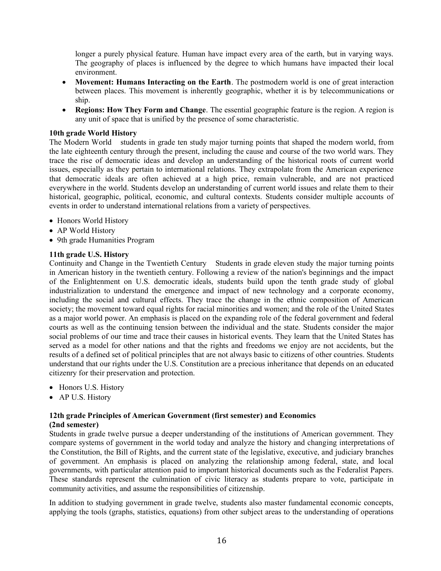longer a purely physical feature. Human have impact every area of the earth, but in varying ways. The geography of places is influenced by the degree to which humans have impacted their local environment.

- **Movement: Humans Interacting on the Earth**. The postmodern world is one of great interaction between places. This movement is inherently geographic, whether it is by telecommunications or ship.
- **Regions: How They Form and Change**. The essential geographic feature is the region. A region is any unit of space that is unified by the presence of some characteristic.

#### **10th grade World History**

The Modern World students in grade ten study major turning points that shaped the modern world, from the late eighteenth century through the present, including the cause and course of the two world wars. They trace the rise of democratic ideas and develop an understanding of the historical roots of current world issues, especially as they pertain to international relations. They extrapolate from the American experience that democratic ideals are often achieved at a high price, remain vulnerable, and are not practiced everywhere in the world. Students develop an understanding of current world issues and relate them to their historical, geographic, political, economic, and cultural contexts. Students consider multiple accounts of events in order to understand international relations from a variety of perspectives.

- Honors World History
- AP World History
- 9th grade Humanities Program

### **11th grade U.S. History**

Continuity and Change in the Twentieth Century Students in grade eleven study the major turning points in American history in the twentieth century. Following a review of the nation's beginnings and the impact of the Enlightenment on U.S. democratic ideals, students build upon the tenth grade study of global industrialization to understand the emergence and impact of new technology and a corporate economy, including the social and cultural effects. They trace the change in the ethnic composition of American society; the movement toward equal rights for racial minorities and women; and the role of the United States as a major world power. An emphasis is placed on the expanding role of the federal government and federal courts as well as the continuing tension between the individual and the state. Students consider the major social problems of our time and trace their causes in historical events. They learn that the United States has served as a model for other nations and that the rights and freedoms we enjoy are not accidents, but the results of a defined set of political principles that are not always basic to citizens of other countries. Students understand that our rights under the U.S. Constitution are a precious inheritance that depends on an educated citizenry for their preservation and protection.

- $\bullet$  Honors U.S. History
- $\bullet$  AP U.S. History

#### 12th grade Principles of American Government (first semester) and Economics **(2nd!semester)**

Students in grade twelve pursue a deeper understanding of the institutions of American government. They compare systems of government in the world today and analyze the history and changing interpretations of the Constitution, the Bill of Rights, and the current state of the legislative, executive, and judiciary branches of government. An emphasis is placed on analyzing the relationship among federal, state, and local governments, with particular attention paid to important historical documents such as the Federalist Papers. These standards represent the culmination of civic literacy as students prepare to vote, participate in community activities, and assume the responsibilities of citizenship.

In addition to studying government in grade twelve, students also master fundamental economic concepts, applying the tools (graphs, statistics, equations) from other subject areas to the understanding of operations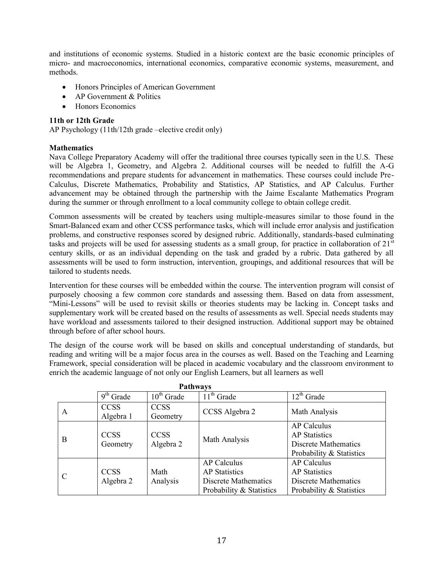and institutions of economic systems. Studied in a historic context are the basic economic principles of micro- and macroeconomics, international economics, comparative economic systems, measurement, and methods.

- Honors Principles of American Government
- $\bullet$  AP Government & Politics
- Honors Economics

#### **11th or 12th Grade**

AP Psychology  $(11th/12th)$  grade  $-e$  lective credit only)

#### **Mathematics**

Nava College Preparatory Academy will offer the traditional three courses typically seen in the U.S. These will be Algebra 1, Geometry, and Algebra 2. Additional courses will be needed to fulfill the A-G recommendations and prepare students for advancement in mathematics. These courses could include Pre-Calculus, Discrete Mathematics, Probability and Statistics, AP Statistics, and AP Calculus. Further advancement may be obtained through the partnership with the Jaime Escalante Mathematics Program during the summer or through enrollment to a local community college to obtain college credit.

Common assessments will be created by teachers using multiple-measures similar to those found in the Smart-Balanced exam and other CCSS performance tasks, which will include error analysis and justification problems, and constructive responses scored by designed rubric. Additionally, standards-based culminating tasks and projects will be used for assessing students as a small group, for practice in collaboration of  $21<sup>st</sup>$ century skills, or as an individual depending on the task and graded by a rubric. Data gathered by all assessments will be used to form instruction, intervention, groupings, and additional resources that will be tailored to students needs.

Intervention for these courses will be embedded within the course. The intervention program will consist of purposely choosing a few common core standards and assessing them. Based on data from assessment, "Mini-Lessons" will be used to revisit skills or theories students may be lacking in. Concept tasks and supplementary work will be created based on the results of assessments as well. Special needs students may have workload and assessments tailored to their designed instruction. Additional support may be obtained through before of after school hours.

The design of the course work will be based on skills and conceptual understanding of standards, but reading and writing will be a major focus area in the courses as well. Based on the Teaching and Learning Framework, special consideration will be placed in academic vocabulary and the classroom environment to enrich the academic language of not only our English Learners, but all learners as well

|   | Pathways                 |                          |                                                                                                |                                                                                                |  |
|---|--------------------------|--------------------------|------------------------------------------------------------------------------------------------|------------------------------------------------------------------------------------------------|--|
|   | $9th$ Grade              | $10^{\text{th}}$ Grade   | $11th$ Grade                                                                                   | $12th$ Grade                                                                                   |  |
| A | <b>CCSS</b><br>Algebra 1 | <b>CCSS</b><br>Geometry  | CCSS Algebra 2                                                                                 | Math Analysis                                                                                  |  |
| B | <b>CCSS</b><br>Geometry  | <b>CCSS</b><br>Algebra 2 | Math Analysis                                                                                  | <b>AP Calculus</b><br><b>AP</b> Statistics<br>Discrete Mathematics<br>Probability & Statistics |  |
| C | <b>CCSS</b><br>Algebra 2 | Math<br>Analysis         | <b>AP Calculus</b><br><b>AP</b> Statistics<br>Discrete Mathematics<br>Probability & Statistics | <b>AP Calculus</b><br><b>AP</b> Statistics<br>Discrete Mathematics<br>Probability & Statistics |  |

**Pathways**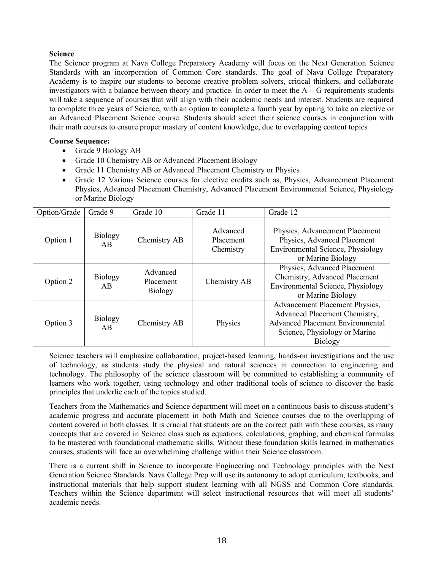## **Science**

The Science program at Nava College Preparatory Academy will focus on the Next Generation Science Standards with an incorporation of Common Core standards. The goal of Nava College Preparatory Academy is to inspire our students to become creative problem solvers, critical thinkers, and collaborate investigators with a balance between theory and practice. In order to meet the  $A - G$  requirements students will take a sequence of courses that will align with their academic needs and interest. Students are required to complete three years of Science, with an option to complete a fourth year by opting to take an elective or an Advanced Placement Science course. Students should select their science courses in conjunction with their math courses to ensure proper mastery of content knowledge, due to overlapping content topics

## **Course Sequence:**

- Grade 9 Biology AB
- Grade 10 Chemistry AB or Advanced Placement Biology
- Grade 11 Chemistry AB or Advanced Placement Chemistry or Physics
- Grade 12 Various Science courses for elective credits such as, Physics, Advancement Placement Physics, Advanced Placement Chemistry, Advanced Placement Environmental Science, Physiology or Marine Biology

| Option/Grade | Grade 9              | Grade 10                                | Grade 11                           | Grade 12                                                                                                                                                      |
|--------------|----------------------|-----------------------------------------|------------------------------------|---------------------------------------------------------------------------------------------------------------------------------------------------------------|
| Option 1     | <b>Biology</b><br>AB | Chemistry AB                            | Advanced<br>Placement<br>Chemistry | Physics, Advancement Placement<br>Physics, Advanced Placement<br>Environmental Science, Physiology<br>or Marine Biology                                       |
| Option 2     | <b>Biology</b><br>AB | Advanced<br>Placement<br><b>Biology</b> | Chemistry AB                       | Physics, Advanced Placement<br>Chemistry, Advanced Placement<br>Environmental Science, Physiology<br>or Marine Biology                                        |
| Option 3     | <b>Biology</b><br>AB | Chemistry AB                            | Physics                            | Advancement Placement Physics,<br>Advanced Placement Chemistry,<br><b>Advanced Placement Environmental</b><br>Science, Physiology or Marine<br><b>Biology</b> |

Science teachers will emphasize collaboration, project-based learning, hands-on investigations and the use of technology, as students study the physical and natural sciences in connection to engineering and technology. The philosophy of the science classroom will be committed to establishing a community of learners who work together, using technology and other traditional tools of science to discover the basic principles that underlie each of the topics studied.

Teachers from the Mathematics and Science department will meet on a continuous basis to discuss student's academic progress and accurate placement in both Math and Science courses due to the overlapping of content covered in both classes. It is crucial that students are on the correct path with these courses, as many concepts that are covered in Science class such as equations, calculations, graphing, and chemical formulas to be mastered with foundational mathematic skills. Without these foundation skills learned in mathematics courses, students will face an overwhelming challenge within their Science classroom.

There is a current shift in Science to incorporate Engineering and Technology principles with the Next Generation Science Standards. Nava College Prep will use its autonomy to adopt curriculum, textbooks, and instructional materials that help support student learning with all NGSS and Common Core standards. Teachers within the Science department will select instructional resources that will meet all students' academic needs.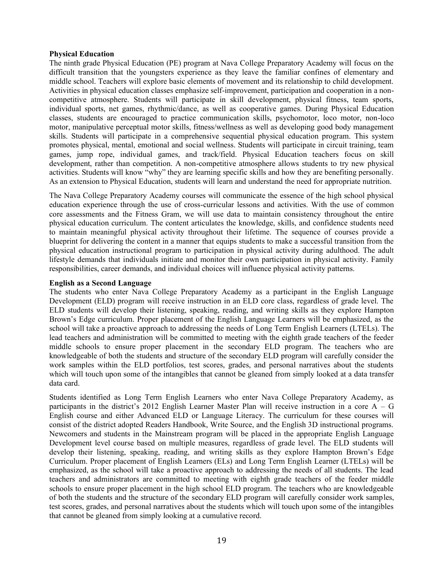#### **Physical!Education**

The ninth grade Physical Education (PE) program at Nava College Preparatory Academy will focus on the difficult transition that the youngsters experience as they leave the familiar confines of elementary and middle school. Teachers will explore basic elements of movement and its relationship to child development. Activities in physical education classes emphasize self-improvement, participation and cooperation in a noncompetitive atmosphere. Students will participate in skill development, physical fitness, team sports, individual sports, net games, rhythmic/dance, as well as cooperative games. During Physical Education classes, students are encouraged to practice communication skills, psychomotor, loco motor, non-loco motor, manipulative perceptual motor skills, fitness/wellness as well as developing good body management skills. Students will participate in a comprehensive sequential physical education program. This system promotes physical, mental, emotional and social wellness. Students will participate in circuit training, team games, jump rope, individual games, and track/field. Physical Education teachers focus on skill development, rather than competition. A non-competitive atmosphere allows students to try new physical activities. Students will know "why" they are learning specific skills and how they are benefiting personally. As an extension to Physical Education, students will learn and understand the need for appropriate nutrition.

The Nava College Preparatory Academy courses will communicate the essence of the high school physical education experience through the use of cross-curricular lessons and activities. With the use of common core assessments and the Fitness Gram, we will use data to maintain consistency throughout the entire physical education curriculum. The content articulates the knowledge, skills, and confidence students need to maintain meaningful physical activity throughout their lifetime. The sequence of courses provide a blueprint for delivering the content in a manner that equips students to make a successful transition from the physical education instructional program to participation in physical activity during adulthood. The adult lifestyle demands that individuals initiate and monitor their own participation in physical activity. Family responsibilities, career demands, and individual choices will influence physical activity patterns.

#### **English as a Second Language**

The students who enter Nava College Preparatory Academy as a participant in the English Language Development (ELD) program will receive instruction in an ELD core class, regardless of grade level. The ELD students will develop their listening, speaking, reading, and writing skills as they explore Hampton Brown's Edge curriculum. Proper placement of the English Language Learners will be emphasized, as the school will take a proactive approach to addressing the needs of Long Term English Learners (LTELs). The lead teachers and administration will be committed to meeting with the eighth grade teachers of the feeder middle schools to ensure proper placement in the secondary ELD program. The teachers who are knowledgeable of both the students and structure of the secondary ELD program will carefully consider the work samples within the ELD portfolios, test scores, grades, and personal narratives about the students which will touch upon some of the intangibles that cannot be gleaned from simply looked at a data transfer data card.

Students identified as Long Term English Learners who enter Nava College Preparatory Academy, as participants in the district's 2012 English Learner Master Plan will receive instruction in a core  $A - G$ English course and either Advanced ELD or Language Literacy. The curriculum for these courses will consist of the district adopted Readers Handbook, Write Source, and the English 3D instructional programs. Newcomers and students in the Mainstream program will be placed in the appropriate English Language Development level course based on multiple measures, regardless of grade level. The ELD students will develop their listening, speaking, reading, and writing skills as they explore Hampton Brown's Edge Curriculum. Proper placement of English Learners (ELs) and Long Term English Learner (LTELs) will be emphasized, as the school will take a proactive approach to addressing the needs of all students. The lead teachers and administrators are committed to meeting with eighth grade teachers of the feeder middle schools to ensure proper placement in the high school ELD program. The teachers who are knowledgeable of both the students and the structure of the secondary ELD program will carefully consider work samples, test scores, grades, and personal narratives about the students which will touch upon some of the intangibles that cannot be gleaned from simply looking at a cumulative record.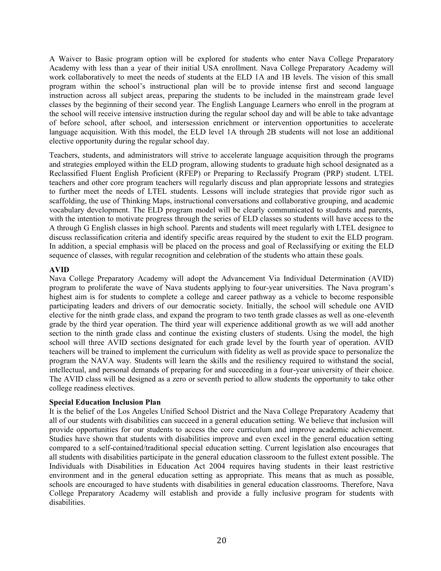A Waiver to Basic program option will be explored for students who enter Nava College Preparatory Academy with less than a year of their initial USA enrollment. Nava College Preparatory Academy will work collaboratively to meet the needs of students at the ELD 1A and 1B levels. The vision of this small program within the school's instructional plan will be to provide intense first and second language instruction across all subject areas, preparing the students to be included in the mainstream grade level classes by the beginning of their second year. The English Language Learners who enroll in the program at the school will receive intensive instruction during the regular school day and will be able to take advantage of before school, after school, and intersession enrichment or intervention opportunities to accelerate language acquisition. With this model, the ELD level 1A through 2B students will not lose an additional elective opportunity during the regular school day.

Teachers, students, and administrators will strive to accelerate language acquisition through the programs and strategies employed within the ELD program, allowing students to graduate high school designated as a Reclassified Fluent English Proficient (RFEP) or Preparing to Reclassify Program (PRP) student. LTEL teachers and other core program teachers will regularly discuss and plan appropriate lessons and strategies to further meet the needs of LTEL students. Lessons will include strategies that provide rigor such as scaffolding, the use of Thinking Maps, instructional conversations and collaborative grouping, and academic vocabulary development. The ELD program model will be clearly communicated to students and parents, with the intention to motivate progress through the series of ELD classes so students will have access to the A through G English classes in high school. Parents and students will meet regularly with LTEL designee to discuss reclassification criteria and identify specific areas required by the student to exit the ELD program. In addition, a special emphasis will be placed on the process and goal of Reclassifying or exiting the ELD sequence of classes, with regular recognition and celebration of the students who attain these goals.

#### **AVID!**

Nava College Preparatory Academy will adopt the Advancement Via Individual Determination (AVID) program to proliferate the wave of Nava students applying to four-year universities. The Nava program's highest aim is for students to complete a college and career pathway as a vehicle to become responsible participating leaders and drivers of our democratic society. Initially, the school will schedule one AVID elective for the ninth grade class, and expand the program to two tenth grade classes as well as one-eleventh grade by the third year operation. The third year will experience additional growth as we will add another section to the ninth grade class and continue the existing clusters of students. Using the model, the high school will three AVID sections designated for each grade level by the fourth year of operation. AVID teachers will be trained to implement the curriculum with fidelity as well as provide space to personalize the program the NAVA way. Students will learn the skills and the resiliency required to withstand the social, intellectual, and personal demands of preparing for and succeeding in a four-year university of their choice. The AVID class will be designed as a zero or seventh period to allow students the opportunity to take other college readiness electives.

#### **Special Education Inclusion Plan**

It is the belief of the Los Angeles Unified School District and the Nava College Preparatory Academy that all of our students with disabilities can succeed in a general education setting. We believe that inclusion will provide opportunities for our students to access the core curriculum and improve academic achievement. Studies have shown that students with disabilities improve and even excel in the general education setting compared to a self-contained/traditional special education setting. Current legislation also encourages that all students with disabilities participate in the general education classroom to the fullest extent possible. The Individuals with Disabilities in Education Act 2004 requires having students in their least restrictive environment and in the general education setting as appropriate. This means that as much as possible, schools are encouraged to have students with disabilities in general education classrooms. Therefore, Nava College Preparatory Academy will establish and provide a fully inclusive program for students with disabilities.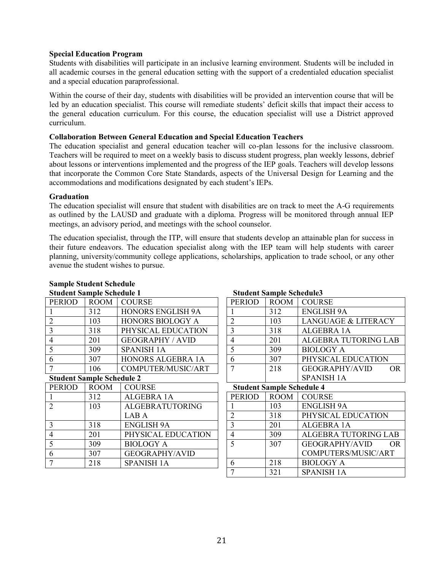#### **Special!Education!Program**

Students with disabilities will participate in an inclusive learning environment. Students will be included in all academic courses in the general education setting with the support of a credentialed education specialist and a special education paraprofessional.

Within the course of their day, students with disabilities will be provided an intervention course that will be led by an education specialist. This course will remediate students' deficit skills that impact their access to the general education curriculum. For this course, the education specialist will use a District approved curriculum.

#### **Collaboration Between General Education and Special Education Teachers**

The education specialist and general education teacher will co-plan lessons for the inclusive classroom. Teachers will be required to meet on a weekly basis to discuss student progress, plan weekly lessons, debrief about lessons or interventions implemented and the progress of the IEP goals. Teachers will develop lessons that incorporate the Common Core State Standards, aspects of the Universal Design for Learning and the accommodations and modifications designated by each student's IEPs.

### **Graduation**

The education specialist will ensure that student with disabilities are on track to meet the A-G requirements as outlined by the LAUSD and graduate with a diploma. Progress will be monitored through annual IEP meetings, an advisory period, and meetings with the school counselor.

The education specialist, through the ITP, will ensure that students develop an attainable plan for success in their future endeavors. The education specialist along with the IEP team will help students with career planning, university/community college applications, scholarships, application to trade school, or any other avenue the student wishes to pursue.

# **Sample Student Schedule**

| <b>Student Sample Schedule 1</b> |             |                          |  |
|----------------------------------|-------------|--------------------------|--|
| <b>PERIOD</b>                    | <b>ROOM</b> | <b>COURSE</b>            |  |
|                                  | 312         | <b>HONORS ENGLISH 9A</b> |  |
| 2                                | 103         | HONORS BIOLOGY A         |  |
| $\mathcal{R}$                    | 318         | PHYSICAL EDUCATION       |  |
|                                  | 201         | <b>GEOGRAPHY / AVID</b>  |  |
|                                  | 309         | <b>SPANISH 1A</b>        |  |
|                                  | 307         | HONORS ALGEBRA 1A        |  |
|                                  | 106         | COMPUTER/MUSIC/ART       |  |

#### **Student Sample Schedule 2**

| <b>PERIOD</b> | <b>ROOM</b> | <b>COURSE</b>          |
|---------------|-------------|------------------------|
|               | 312         | <b>ALGEBRA 1A</b>      |
| $\mathcal{D}$ | 103         | <b>ALGEBRATUTORING</b> |
|               |             | LAB A                  |
|               | 318         | <b>ENGLISH 9A</b>      |
|               | 201         | PHYSICAL EDUCATION     |
| 5             | 309         | <b>BIOLOGY A</b>       |
|               | 307         | <b>GEOGRAPHY/AVID</b>  |
|               | 218         | <b>SPANISH 1A</b>      |
|               |             |                        |

## PERIOD | ROOM | COURSE 1 312 ENGLISH 9A 2 103 LANGUAGE & LITERACY 3 318 ALGEBRA 1A 4 201 | ALGEBRA TUTORING LAB  $\frac{1}{309}$  BIOLOGY A 6 307 PHYSICAL EDUCATION 7 218 GEOGRAPHY/AVID OR SPANISH 1A **Student Sample Schedule 4**

**Student Sample Schedule3** 

| <b>PERIOD</b> | <b>ROOM</b> | <b>COURSE</b>               |
|---------------|-------------|-----------------------------|
|               | 103         | <b>ENGLISH 9A</b>           |
|               | 318         | PHYSICAL EDUCATION          |
| 3             | 201         | <b>ALGEBRA 1A</b>           |
|               | 309         | <b>ALGEBRA TUTORING LAB</b> |
|               | 307         | <b>GEOGRAPHY/AVID</b>       |
|               |             | COMPUTERS/MUSIC/ART         |
|               | 218         | <b>BIOLOGY A</b>            |
|               | 321         | <b>SPANISH 1A</b>           |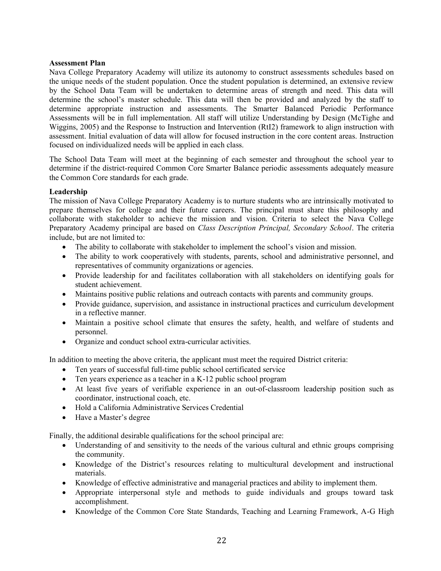#### **Assessment!Plan**

Nava College Preparatory Academy will utilize its autonomy to construct assessments schedules based on the unique needs of the student population. Once the student population is determined, an extensive review by the School Data Team will be undertaken to determine areas of strength and need. This data will determine the school's master schedule. This data will then be provided and analyzed by the staff to determine appropriate instruction and assessments. The Smarter Balanced Periodic Performance Assessments will be in full implementation. All staff will utilize Understanding by Design (McTighe and Wiggins, 2005) and the Response to Instruction and Intervention (RtI2) framework to align instruction with assessment. Initial evaluation of data will allow for focused instruction in the core content areas. Instruction focused on individualized needs will be applied in each class.

The School Data Team will meet at the beginning of each semester and throughout the school year to determine if the district-required Common Core Smarter Balance periodic assessments adequately measure the Common Core standards for each grade.

#### **Leadership**

The mission of Nava College Preparatory Academy is to nurture students who are intrinsically motivated to prepare themselves for college and their future careers. The principal must share this philosophy and collaborate with stakeholder to achieve the mission and vision. Criteria to select the Nava College Preparatory Academy principal are based on *Class Description Principal, Secondary School*. The criteria include, but are not limited to:

- The ability to collaborate with stakeholder to implement the school's vision and mission.
- The ability to work cooperatively with students, parents, school and administrative personnel, and representatives of community organizations or agencies.
- Provide leadership for and facilitates collaboration with all stakeholders on identifying goals for student achievement.
- Maintains positive public relations and outreach contacts with parents and community groups.
- Provide guidance, supervision, and assistance in instructional practices and curriculum development in a reflective manner.
- Maintain a positive school climate that ensures the safety, health, and welfare of students and personnel.
- $\bullet$  Organize and conduct school extra-curricular activities.

In addition to meeting the above criteria, the applicant must meet the required District criteria:

- $\bullet$  Ten years of successful full-time public school certificated service
- Ten years experience as a teacher in a  $K-12$  public school program
- At least five years of verifiable experience in an out-of-classroom leadership position such as coordinator, instructional coach, etc.
- Hold a California Administrative Services Credential
- Have a Master's degree

Finally, the additional desirable qualifications for the school principal are:

- Understanding of and sensitivity to the needs of the various cultural and ethnic groups comprising the community.
- Knowledge of the District's resources relating to multicultural development and instructional materials.
- Knowledge of effective administrative and managerial practices and ability to implement them.
- Appropriate interpersonal style and methods to guide individuals and groups toward task accomplishment.
- Knowledge of the Common Core State Standards, Teaching and Learning Framework, A-G High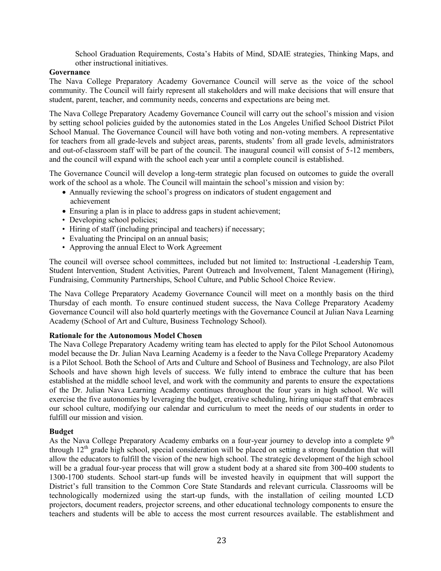School Graduation Requirements, Costa's Habits of Mind, SDAIE strategies, Thinking Maps, and other instructional initiatives.

#### **Governance**

The Nava College Preparatory Academy Governance Council will serve as the voice of the school community. The Council will fairly represent all stakeholders and will make decisions that will ensure that student, parent, teacher, and community needs, concerns and expectations are being met.

The Nava College Preparatory Academy Governance Council will carry out the school's mission and vision by setting school policies guided by the autonomies stated in the Los Angeles Unified School District Pilot School Manual. The Governance Council will have both voting and non-voting members. A representative for teachers from all grade-levels and subject areas, parents, students' from all grade levels, administrators and out-of-classroom staff will be part of the council. The inaugural council will consist of 5-12 members, and the council will expand with the school each year until a complete council is established.

The Governance Council will develop a long-term strategic plan focused on outcomes to guide the overall work of the school as a whole. The Council will maintain the school's mission and vision by:

- Annually reviewing the school's progress on indicators of student engagement and achievement
- $\bullet$  Ensuring a plan is in place to address gaps in student achievement;
- Developing school policies;
- Hiring of staff (including principal and teachers) if necessary;
- Evaluating the Principal on an annual basis;
- Approving the annual Elect to Work Agreement

The council will oversee school committees, included but not limited to: Instructional -Leadership Team, Student Intervention, Student Activities, Parent Outreach and Involvement, Talent Management (Hiring), Fundraising, Community Partnerships, School Culture, and Public School Choice Review.

The Nava College Preparatory Academy Governance Council will meet on a monthly basis on the third Thursday of each month. To ensure continued student success, the Nava College Preparatory Academy Governance Council will also hold quarterly meetings with the Governance Council at Julian Nava Learning Academy (School of Art and Culture, Business Technology School).

#### **Rationale for the Autonomous Model Chosen**

The Nava College Preparatory Academy writing team has elected to apply for the Pilot School Autonomous model because the Dr. Julian Nava Learning Academy is a feeder to the Nava College Preparatory Academy is a Pilot School. Both the School of Arts and Culture and School of Business and Technology, are also Pilot Schools and have shown high levels of success. We fully intend to embrace the culture that has been established at the middle school level, and work with the community and parents to ensure the expectations of the Dr. Julian Nava Learning Academy continues throughout the four years in high school. We will exercise the five autonomies by leveraging the budget, creative scheduling, hiring unique staff that embraces our school culture, modifying our calendar and curriculum to meet the needs of our students in order to fulfill our mission and vision.

#### **Budget**

As the Nava College Preparatory Academy embarks on a four-year journey to develop into a complete 9<sup>th</sup> through  $12<sup>th</sup>$  grade high school, special consideration will be placed on setting a strong foundation that will allow the educators to fulfill the vision of the new high school. The strategic development of the high school will be a gradual four-year process that will grow a student body at a shared site from 300-400 students to 1300-1700 students. School start-up funds will be invested heavily in equipment that will support the District's full transition to the Common Core State Standards and relevant curricula. Classrooms will be technologically modernized using the start-up funds, with the installation of ceiling mounted LCD projectors, document readers, projector screens, and other educational technology components to ensure the teachers and students will be able to access the most current resources available. The establishment and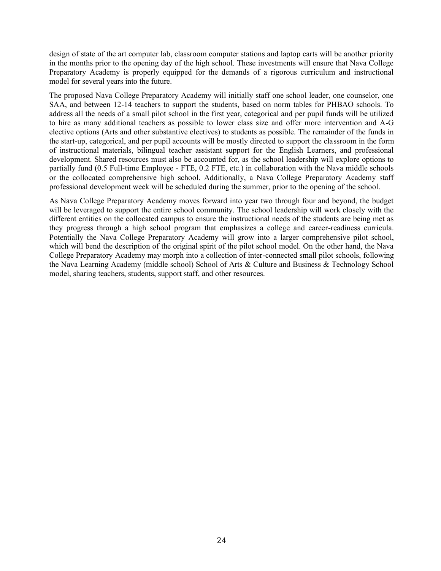design of state of the art computer lab, classroom computer stations and laptop carts will be another priority in the months prior to the opening day of the high school. These investments will ensure that Nava College Preparatory Academy is properly equipped for the demands of a rigorous curriculum and instructional model for several years into the future.

The proposed Nava College Preparatory Academy will initially staff one school leader, one counselor, one SAA, and between 12-14 teachers to support the students, based on norm tables for PHBAO schools. To address all the needs of a small pilot school in the first year, categorical and per pupil funds will be utilized to hire as many additional teachers as possible to lower class size and offer more intervention and A-G elective options (Arts and other substantive electives) to students as possible. The remainder of the funds in the start-up, categorical, and per pupil accounts will be mostly directed to support the classroom in the form of instructional materials, bilingual teacher assistant support for the English Learners, and professional development. Shared resources must also be accounted for, as the school leadership will explore options to partially fund (0.5 Full-time Employee - FTE, 0.2 FTE, etc.) in collaboration with the Nava middle schools or the collocated comprehensive high school. Additionally, a Nava College Preparatory Academy staff professional development week will be scheduled during the summer, prior to the opening of the school.

As Nava College Preparatory Academy moves forward into year two through four and beyond, the budget will be leveraged to support the entire school community. The school leadership will work closely with the different entities on the collocated campus to ensure the instructional needs of the students are being met as they progress through a high school program that emphasizes a college and career-readiness curricula. Potentially the Nava College Preparatory Academy will grow into a larger comprehensive pilot school, which will bend the description of the original spirit of the pilot school model. On the other hand, the Nava College Preparatory Academy may morph into a collection of inter-connected small pilot schools, following the Nava Learning Academy (middle school) School of Arts & Culture and Business & Technology School model, sharing teachers, students, support staff, and other resources.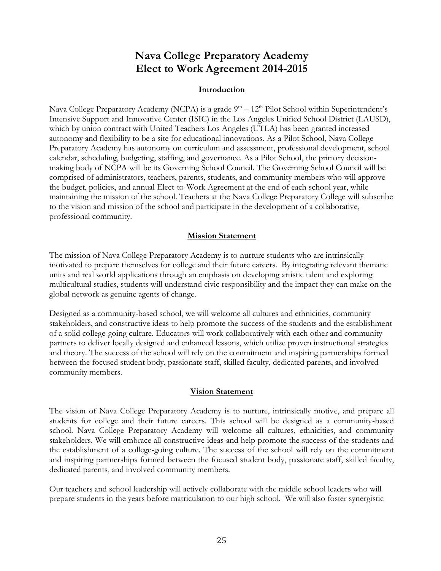# **Nava College Preparatory Academy Elect to Work Agreement 2014-2015**

## **Introduction**

Nava College Preparatory Academy (NCPA) is a grade  $9<sup>th</sup> - 12<sup>th</sup>$  Pilot School within Superintendent's Intensive Support and Innovative Center (ISIC) in the Los Angeles Unified School District (LAUSD), which by union contract with United Teachers Los Angeles (UTLA) has been granted increased autonomy and flexibility to be a site for educational innovations. As a Pilot School, Nava College Preparatory Academy has autonomy on curriculum and assessment, professional development, school calendar, scheduling, budgeting, staffing, and governance. As a Pilot School, the primary decisionmaking body of NCPA will be its Governing School Council. The Governing School Council will be comprised of administrators, teachers, parents, students, and community members who will approve the budget, policies, and annual Elect-to-Work Agreement at the end of each school year, while maintaining the mission of the school. Teachers at the Nava College Preparatory College will subscribe to the vision and mission of the school and participate in the development of a collaborative, professional community.

## **Mission Statement**

The mission of Nava College Preparatory Academy is to nurture students who are intrinsically motivated to prepare themselves for college and their future careers. By integrating relevant thematic units and real world applications through an emphasis on developing artistic talent and exploring multicultural studies, students will understand civic responsibility and the impact they can make on the global network as genuine agents of change.

Designed as a community-based school, we will welcome all cultures and ethnicities, community stakeholders, and constructive ideas to help promote the success of the students and the establishment of a solid college-going culture. Educators will work collaboratively with each other and community partners to deliver locally designed and enhanced lessons, which utilize proven instructional strategies and theory. The success of the school will rely on the commitment and inspiring partnerships formed between the focused student body, passionate staff, skilled faculty, dedicated parents, and involved community members.

# **Vision Statement**

The vision of Nava College Preparatory Academy is to nurture, intrinsically motive, and prepare all students for college and their future careers. This school will be designed as a community-based school. Nava College Preparatory Academy will welcome all cultures, ethnicities, and community stakeholders. We will embrace all constructive ideas and help promote the success of the students and the establishment of a college-going culture. The success of the school will rely on the commitment and inspiring partnerships formed between the focused student body, passionate staff, skilled faculty, dedicated parents, and involved community members.

Our teachers and school leadership will actively collaborate with the middle school leaders who will prepare students in the years before matriculation to our high school. We will also foster synergistic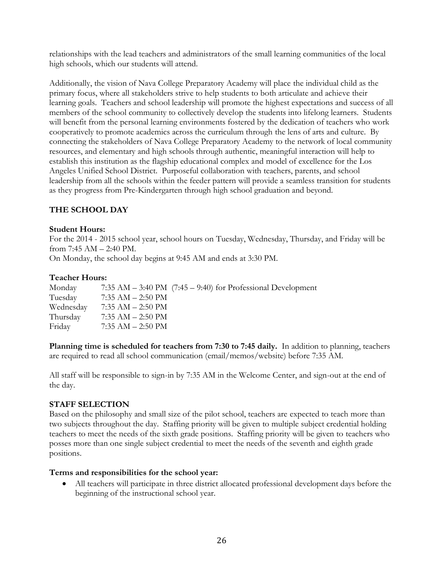relationships with the lead teachers and administrators of the small learning communities of the local high schools, which our students will attend.

Additionally, the vision of Nava College Preparatory Academy will place the individual child as the primary focus, where all stakeholders strive to help students to both articulate and achieve their learning goals. Teachers and school leadership will promote the highest expectations and success of all members of the school community to collectively develop the students into lifelong learners. Students will benefit from the personal learning environments fostered by the dedication of teachers who work cooperatively to promote academics across the curriculum through the lens of arts and culture. By connecting the stakeholders of Nava College Preparatory Academy to the network of local community resources, and elementary and high schools through authentic, meaningful interaction will help to establish this institution as the flagship educational complex and model of excellence for the Los Angeles Unified School District. Purposeful collaboration with teachers, parents, and school leadership from all the schools within the feeder pattern will provide a seamless transition for students as they progress from Pre-Kindergarten through high school graduation and beyond.

# **THE SCHOOL DAY**

## **Student Hours:**

For the 2014 - 2015 school year, school hours on Tuesday, Wednesday, Thursday, and Friday will be from  $7:45$  AM  $- 2:40$  PM.

On Monday, the school day begins at 9:45 AM and ends at 3:30 PM.

## **Teacher Hours:**

| Monday    | 7:35 AM $-$ 3:40 PM (7:45 $-$ 9:40) for Professional Development |
|-----------|------------------------------------------------------------------|
| Tuesday   | 7:35 AM $-$ 2:50 PM                                              |
| Wednesday | 7:35 AM – 2:50 PM                                                |
| Thursday  | $7:35 AM - 2:50 PM$                                              |
| Friday    | 7:35 AM – 2:50 PM                                                |

**Planning time is scheduled for teachers from 7:30 to 7:45 daily.** In addition to planning, teachers are required to read all school communication (email/memos/website) before 7:35 AM.

All staff will be responsible to sign-in by 7:35 AM in the Welcome Center, and sign-out at the end of the day.

## **STAFF SELECTION**

Based on the philosophy and small size of the pilot school, teachers are expected to teach more than two subjects throughout the day. Staffing priority will be given to multiple subject credential holding teachers to meet the needs of the sixth grade positions. Staffing priority will be given to teachers who posses more than one single subject credential to meet the needs of the seventh and eighth grade positions.

## **Terms and responsibilities for the school year:**

• All teachers will participate in three district allocated professional development days before the beginning of the instructional school year.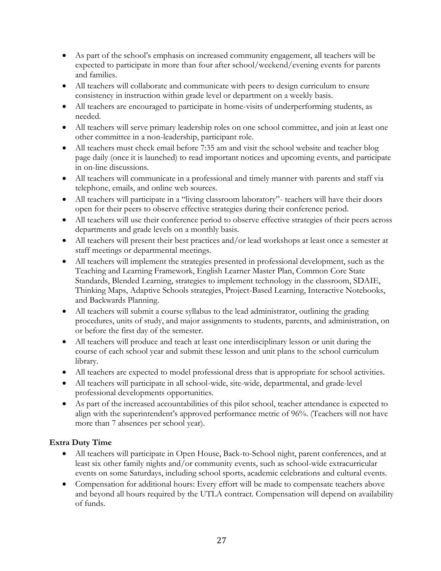- As part of the school's emphasis on increased community engagement, all teachers will be expected to participate in more than four after school/weekend/evening events for parents and families.
- All teachers will collaborate and communicate with peers to design curriculum to ensure consistency in instruction within grade level or department on a weekly basis.
- All teachers are encouraged to participate in home-visits of underperforming students, as needed.
- All teachers will serve primary leadership roles on one school committee, and join at least one other committee in a non-leadership, participant role.
- All teachers must check email before 7:35 am and visit the school website and teacher blog page daily (once it is launched) to read important notices and upcoming events, and participate in on-line discussions.
- All teachers will communicate in a professional and timely manner with parents and staff via telephone, emails, and online web sources.
- All teachers will participate in a "living classroom laboratory" teachers will have their doors open for their peers to observe effective strategies during their conference period.
- All teachers will use their conference period to observe effective strategies of their peers across departments and grade levels on a monthly basis.
- All teachers will present their best practices and/or lead workshops at least once a semester at staff meetings or departmental meetings.
- All teachers will implement the strategies presented in professional development, such as the Teaching and Learning Framework, English Learner Master Plan, Common Core State Standards, Blended Learning, strategies to implement technology in the classroom, SDAIE, Thinking Maps, Adaptive Schools strategies, Project-Based Learning, Interactive Notebooks, and Backwards Planning.
- All teachers will submit a course syllabus to the lead administrator, outlining the grading procedures, units of study, and major assignments to students, parents, and administration, on or before the first day of the semester.
- All teachers will produce and teach at least one interdisciplinary lesson or unit during the course of each school year and submit these lesson and unit plans to the school curriculum library.
- All teachers are expected to model professional dress that is appropriate for school activities.
- All teachers will participate in all school-wide, site-wide, departmental, and grade-level professional developments opportunities.
- As part of the increased accountabilities of this pilot school, teacher attendance is expected to align with the superintendent's approved performance metric of 96%. (Teachers will not have more than 7 absences per school year).

# **Extra Duty Time**

- All teachers will participate in Open House, Back-to-School night, parent conferences, and at least six other family nights and/or community events, such as school-wide extracurricular events on some Saturdays, including school sports, academic celebrations and cultural events.
- Compensation for additional hours: Every effort will be made to compensate teachers above and beyond all hours required by the UTLA contract. Compensation will depend on availability of funds.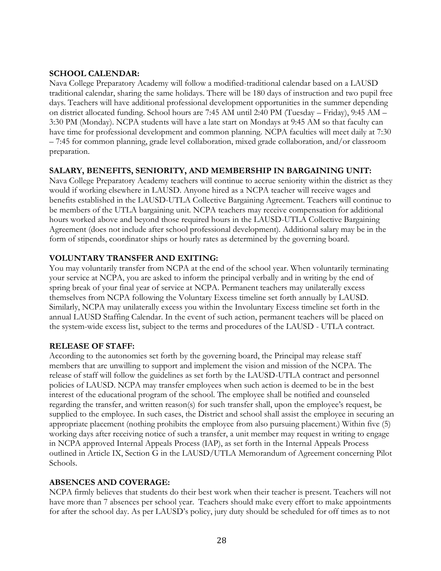## **SCHOOL CALENDAR:**

Nava College Preparatory Academy will follow a modified-traditional calendar based on a LAUSD traditional calendar, sharing the same holidays. There will be 180 days of instruction and two pupil free days. Teachers will have additional professional development opportunities in the summer depending on district allocated funding. School hours are 7:45 AM until 2:40 PM (Tuesday  $-$  Friday), 9:45 AM  $-$ 3:30 PM (Monday). NCPA students will have a late start on Mondays at 9:45 AM so that faculty can have time for professional development and common planning. NCPA faculties will meet daily at 7:30  $-7:45$  for common planning, grade level collaboration, mixed grade collaboration, and/or classroom preparation.

## **SALARY, BENEFITS, SENIORITY, AND MEMBERSHIP IN BARGAINING UNIT:**

Nava College Preparatory Academy teachers will continue to accrue seniority within the district as they would if working elsewhere in LAUSD. Anyone hired as a NCPA teacher will receive wages and benefits established in the LAUSD-UTLA Collective Bargaining Agreement. Teachers will continue to be members of the UTLA bargaining unit. NCPA teachers may receive compensation for additional hours worked above and beyond those required hours in the LAUSD-UTLA Collective Bargaining Agreement (does not include after school professional development). Additional salary may be in the form of stipends, coordinator ships or hourly rates as determined by the governing board.

## **VOLUNTARY TRANSFER AND EXITING:**

You may voluntarily transfer from NCPA at the end of the school year. When voluntarily terminating your service at NCPA, you are asked to inform the principal verbally and in writing by the end of spring break of your final year of service at NCPA. Permanent teachers may unilaterally excess themselves from NCPA following the Voluntary Excess timeline set forth annually by LAUSD. Similarly, NCPA may unilaterally excess you within the Involuntary Excess timeline set forth in the annual LAUSD Staffing Calendar. In the event of such action, permanent teachers will be placed on the system-wide excess list, subject to the terms and procedures of the LAUSD - UTLA contract.

## **RELEASE OF STAFF:**

According to the autonomies set forth by the governing board, the Principal may release staff members that are unwilling to support and implement the vision and mission of the NCPA. The release of staff will follow the guidelines as set forth by the LAUSD-UTLA contract and personnel policies of LAUSD. NCPA may transfer employees when such action is deemed to be in the best interest of the educational program of the school. The employee shall be notified and counseled regarding the transfer, and written reason(s) for such transfer shall, upon the employee's request, be supplied to the employee. In such cases, the District and school shall assist the employee in securing an appropriate placement (nothing prohibits the employee from also pursuing placement.) Within five (5) working days after receiving notice of such a transfer, a unit member may request in writing to engage in NCPA approved Internal Appeals Process (IAP), as set forth in the Internal Appeals Process outlined in Article IX, Section G in the LAUSD/UTLA Memorandum of Agreement concerning Pilot Schools.

# **ABSENCES AND COVERAGE:**

NCPA firmly believes that students do their best work when their teacher is present. Teachers will not have more than 7 absences per school year. Teachers should make every effort to make appointments for after the school day. As per LAUSD's policy, jury duty should be scheduled for off times as to not